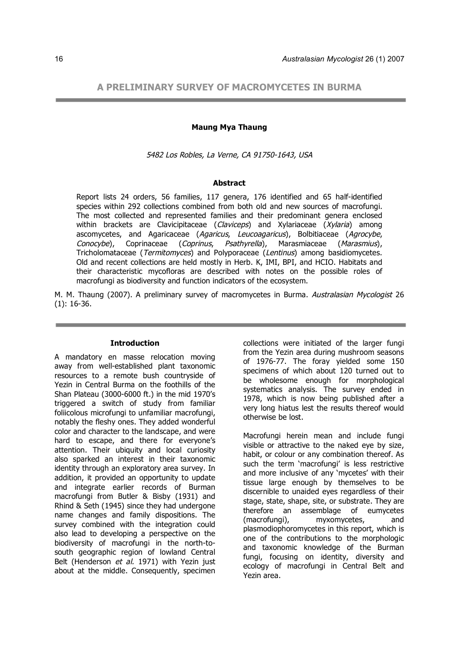# **A PRELIMINARY SURVEY OF MACROMYCETES IN BURMA**

#### **Maung Mya Thaung**

5482 Los Robles, La Verne, CA 91750-1643, USA

### **Abstract**

Report lists 24 orders, 56 families, 117 genera, 176 identified and 65 half-identified species within 292 collections combined from both old and new sources of macrofungi. The most collected and represented families and their predominant genera enclosed within brackets are Clavicipitaceae (Claviceps) and Xylariaceae (Xylaria) among ascomycetes, and Agaricaceae (Agaricus, Leucoagaricus), Bolbitiaceae (Agrocybe,<br>Conocybe), Coprinaceae (Coprinus, Psathyrella), Marasmiaceae (Marasmius). Conocybe), Coprinaceae (Coprinus, Psathyrella), Marasmiaceae (Marasmius), Tricholomataceae (Termitomyces) and Polyporaceae (Lentinus) among basidiomycetes. Old and recent collections are held mostly in Herb. K, IMI, BPI, and HCIO. Habitats and their characteristic mycofloras are described with notes on the possible roles of macrofungi as biodiversity and function indicators of the ecosystem.

M. M. Thaung (2007). A preliminary survey of macromycetes in Burma. Australasian Mycologist 26 (1): 16-36.

### **Introduction**

A mandatory en masse relocation moving away from well-established plant taxonomic resources to a remote bush countryside of Yezin in Central Burma on the foothills of the Shan Plateau (3000-6000 ft.) in the mid 1970's triggered a switch of study from familiar foliicolous microfungi to unfamiliar macrofungi, notably the fleshy ones. They added wonderful color and character to the landscape, and were hard to escape, and there for everyone's attention. Their ubiquity and local curiosity also sparked an interest in their taxonomic identity through an exploratory area survey. In addition, it provided an opportunity to update and integrate earlier records of Burman macrofungi from Butler & Bisby (1931) and Rhind & Seth (1945) since they had undergone name changes and family dispositions. The survey combined with the integration could also lead to developing a perspective on the biodiversity of macrofungi in the north-tosouth geographic region of lowland Central Belt (Henderson et al. 1971) with Yezin just about at the middle. Consequently, specimen

collections were initiated of the larger fungi from the Yezin area during mushroom seasons of 1976-77. The foray yielded some 150 specimens of which about 120 turned out to be wholesome enough for morphological systematics analysis. The survey ended in 1978, which is now being published after a very long hiatus lest the results thereof would otherwise be lost.

Macrofungi herein mean and include fungi visible or attractive to the naked eye by size, habit, or colour or any combination thereof. As such the term 'macrofungi' is less restrictive and more inclusive of any 'mycetes' with their tissue large enough by themselves to be discernible to unaided eyes regardless of their stage, state, shape, site, or substrate. They are therefore an assemblage of eumycetes (macrofungi), myxomycetes, and plasmodiophoromycetes in this report, which is one of the contributions to the morphologic and taxonomic knowledge of the Burman fungi, focusing on identity, diversity and ecology of macrofungi in Central Belt and Yezin area.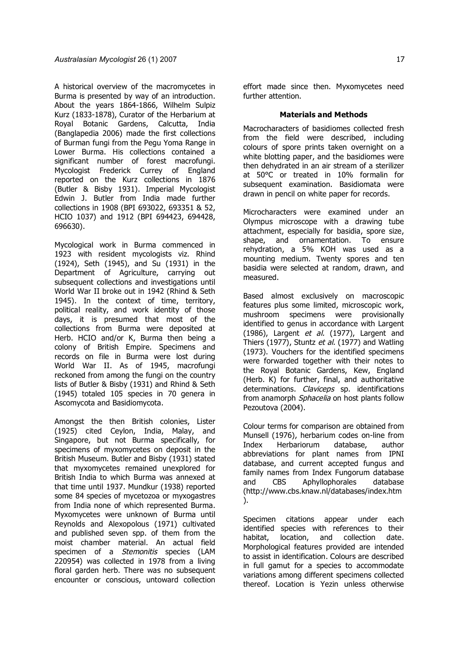A historical overview of the macromycetes in Burma is presented by way of an introduction. About the years 1864-1866, Wilhelm Sulpiz Kurz (1833-1878), Curator of the Herbarium at Royal Botanic Gardens, Calcutta, India (Banglapedia 2006) made the first collections of Burman fungi from the Pegu Yoma Range in Lower Burma. His collections contained a significant number of forest macrofungi. Mycologist Frederick Currey of England reported on the Kurz collections in 1876 (Butler & Bisby 1931). Imperial Mycologist Edwin J. Butler from India made further collections in 1908 (BPI 693022, 693351 & 52, HCIO 1037) and 1912 (BPI 694423, 694428, 696630).

Mycological work in Burma commenced in 1923 with resident mycologists viz. Rhind (1924), Seth (1945), and Su (1931) in the Department of Agriculture, carrying out subsequent collections and investigations until World War II broke out in 1942 (Rhind & Seth 1945). In the context of time, territory, political reality, and work identity of those days, it is presumed that most of the collections from Burma were deposited at Herb. HCIO and/or K, Burma then being a colony of British Empire. Specimens and records on file in Burma were lost during World War II. As of 1945, macrofungi reckoned from among the fungi on the country lists of Butler & Bisby (1931) and Rhind & Seth (1945) totaled 105 species in 70 genera in Ascomycota and Basidiomycota.

Amongst the then British colonies, Lister (1925) cited Ceylon, India, Malay, and Singapore, but not Burma specifically, for specimens of myxomycetes on deposit in the British Museum. Butler and Bisby (1931) stated that myxomycetes remained unexplored for British India to which Burma was annexed at that time until 1937. Mundkur (1938) reported some 84 species of mycetozoa or myxogastres from India none of which represented Burma. Myxomycetes were unknown of Burma until Reynolds and Alexopolous (1971) cultivated and published seven spp. of them from the moist chamber material. An actual field specimen of a *Stemonitis* species (LAM 220954) was collected in 1978 from a living floral garden herb. There was no subsequent encounter or conscious, untoward collection effort made since then. Myxomycetes need further attention.

#### **Materials and Methods**

Macrocharacters of basidiomes collected fresh from the field were described, including colours of spore prints taken overnight on a white blotting paper, and the basidiomes were then dehydrated in an air stream of a sterilizer at 50°C or treated in 10% formalin for subsequent examination. Basidiomata were drawn in pencil on white paper for records.

Microcharacters were examined under an Olympus microscope with a drawing tube attachment, especially for basidia, spore size, shape, and ornamentation. To ensure rehydration, a 5% KOH was used as a mounting medium. Twenty spores and ten basidia were selected at random, drawn, and measured.

Based almost exclusively on macroscopic features plus some limited, microscopic work, mushroom specimens were provisionally identified to genus in accordance with Largent (1986), Largent et al. (1977), Largent and Thiers (1977), Stuntz et al. (1977) and Watling (1973). Vouchers for the identified specimens were forwarded together with their notes to the Royal Botanic Gardens, Kew, England (Herb. K) for further, final, and authoritative determinations. Claviceps sp. identifications from anamorph Sphacelia on host plants follow Pezoutova (2004).

Colour terms for comparison are obtained from Munsell (1976), herbarium codes on-line from Index Herbariorum database, author abbreviations for plant names from IPNI database, and current accepted fungus and family names from Index Fungorum database and CBS Aphyllophorales database (http://www.cbs.knaw.nl/databases/index.htm ).

Specimen citations appear under each identified species with references to their habitat, location, and collection date. Morphological features provided are intended to assist in identification. Colours are described in full gamut for a species to accommodate variations among different specimens collected thereof. Location is Yezin unless otherwise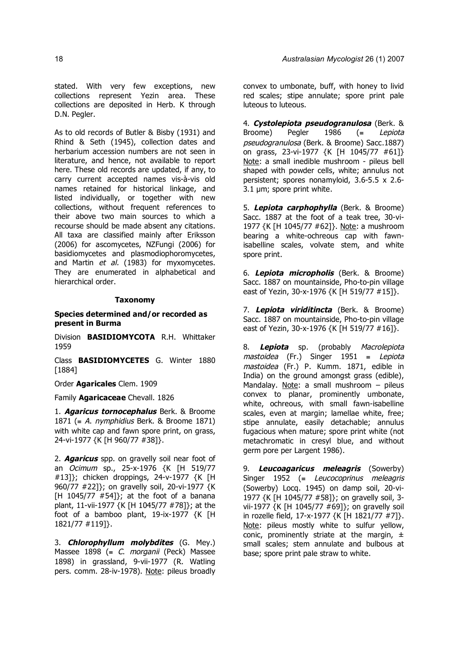stated. With very few exceptions, new collections represent Yezin area. These collections are deposited in Herb. K through D.N. Pegler.

As to old records of Butler & Bisby (1931) and Rhind & Seth (1945), collection dates and herbarium accession numbers are not seen in literature, and hence, not available to report here. These old records are updated, if any, to carry current accepted names vis-à-vis old names retained for historical linkage, and listed individually, or together with new collections, without frequent references to their above two main sources to which a recourse should be made absent any citations. All taxa are classified mainly after Eriksson (2006) for ascomycetes, NZFungi (2006) for basidiomycetes and plasmodiophoromycetes, and Martin et al. (1983) for myxomycetes. They are enumerated in alphabetical and hierarchical order.

## **Taxonomy**

## **Species determined and/or recorded as present in Burma**

Division **BASIDIOMYCOTA** R.H. Whittaker 1959

Class **BASIDIOMYCETES** G. Winter 1880 [1884]

Order **Agaricales** Clem. 1909

Family **Agaricaceae** Chevall. 1826

1. **Agaricus tornocephalus** Berk. & Broome 1871 (= A. *nymphidius* Berk. & Broome 1871) with white cap and fawn spore print, on grass, 24-vi-1977 {K [H 960/77 #38]}.

2. **Agaricus** spp. on gravelly soil near foot of an Ocimum sp., 25-x-1976 {K [H 519/77 #13]}; chicken droppings, 24-v-1977 {K [H 960/77 #22]}; on gravelly soil, 20-vi-1977 {K [H 1045/77  $#54$ ]}; at the foot of a banana plant, 11-vii-1977 {K [H 1045/77 #78]}; at the foot of a bamboo plant, 19-ix-1977 {K [H 1821/77 #119]}.

3. **Chlorophyllum molybdites** (G. Mey.) Massee 1898 (= C. morganii (Peck) Massee 1898) in grassland, 9-vii-1977 (R. Watling pers. comm. 28-iv-1978). Note: pileus broadly

convex to umbonate, buff, with honey to livid red scales; stipe annulate; spore print pale luteous to luteous.

4. **Cystolepiota pseudogranulosa** (Berk. & Broome) Pegler 1986 (≡ Lepiota pseudogranulosa (Berk. & Broome) Sacc.1887) on grass, 23-vi-1977 {K [H 1045/77 #61]} Note: a small inedible mushroom - pileus bell shaped with powder cells, white; annulus not persistent; spores nonamyloid, 3.6-5.5 x 2.6- 3.1 µm; spore print white.

5. **Lepiota carphophylla** (Berk. & Broome) Sacc. 1887 at the foot of a teak tree, 30-vi-1977 {K [H 1045/77 #62]}. Note: a mushroom bearing a white-ochreous cap with fawnisabelline scales, volvate stem, and white spore print.

6. **Lepiota micropholis** (Berk. & Broome) Sacc. 1887 on mountainside, Pho-to-pin village east of Yezin, 30-x-1976 {K [H 519/77 #15]}.

7. **Lepiota viriditincta** (Berk. & Broome) Sacc. 1887 on mountainside, Pho-to-pin village east of Yezin, 30-x-1976 {K [H 519/77 #16]}.

8. **Lepiota** sp. (probably Macrolepiota mastoidea (Fr.) Singer 1951 ≡ Lepiota mastoidea (Fr.) P. Kumm. 1871, edible in India) on the ground amongst grass (edible), Mandalay. Note: a small mushroom – pileus convex to planar, prominently umbonate, white, ochreous, with small fawn-isabelline scales, even at margin; lamellae white, free; stipe annulate, easily detachable; annulus fugacious when mature; spore print white (not metachromatic in cresyl blue, and without germ pore per Largent 1986).

9. **Leucoagaricus meleagris** (Sowerby) Singer 1952 ( $=$  Leucocoprinus meleagris (Sowerby) Locq. 1945) on damp soil, 20-vi-1977 {K [H 1045/77 #58]}; on gravelly soil, 3 vii-1977 {K [H 1045/77 #69]}; on gravelly soil in rozelle field, 17-x-1977 {K [H 1821/77 #7]}. Note: pileus mostly white to sulfur yellow, conic, prominently striate at the margin,  $\pm$ small scales; stem annulate and bulbous at base; spore print pale straw to white.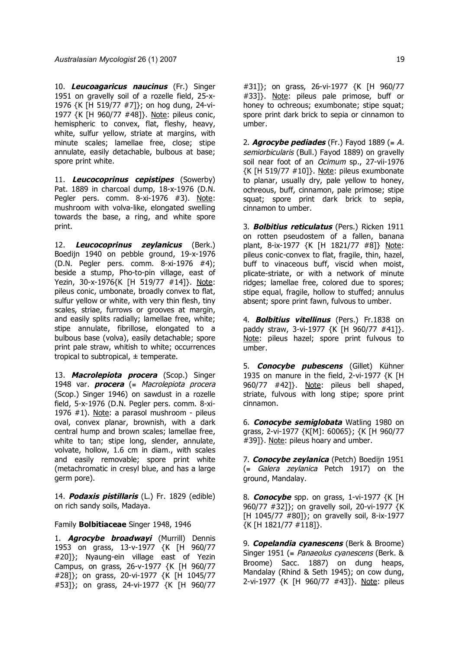10. **Leucoagaricus naucinus** (Fr.) Singer 1951 on gravelly soil of a rozelle field, 25-x-1976 {K [H 519/77 #7]}; on hog dung, 24-vi-1977 {K [H 960/77 #48]}. Note: pileus conic, hemispheric to convex, flat, fleshy, heavy, white, sulfur yellow, striate at margins, with minute scales; lamellae free, close; stipe annulate, easily detachable, bulbous at base; spore print white.

11. **Leucocoprinus cepistipes** (Sowerby) Pat. 1889 in charcoal dump, 18-x-1976 (D.N. Pegler pers. comm. 8-xi-1976 #3). Note: mushroom with volva-like, elongated swelling towards the base, a ring, and white spore print.

12. **Leucocoprinus zeylanicus** (Berk.) Boedijn 1940 on pebble ground, 19-x-1976 (D.N. Pegler pers. comm. 8-xi-1976 #4); beside a stump, Pho-to-pin village, east of Yezin, 30-x-1976{K [H 519/77 #14]}. Note: pileus conic, umbonate, broadly convex to flat, sulfur yellow or white, with very thin flesh, tiny scales, striae, furrows or grooves at margin, and easily splits radially; lamellae free, white; stipe annulate, fibrillose, elongated to a bulbous base (volva), easily detachable; spore print pale straw, whitish to white; occurrences tropical to subtropical,  $\pm$  temperate.

13. **Macrolepiota procera** (Scop.) Singer 1948 var. **procera** (≡ Macrolepiota procera (Scop.) Singer 1946) on sawdust in a rozelle field, 5-x-1976 (D.N. Pegler pers. comm. 8-xi-1976 #1). Note: a parasol mushroom - pileus oval, convex planar, brownish, with a dark central hump and brown scales; lamellae free, white to tan; stipe long, slender, annulate, volvate, hollow, 1.6 cm in diam., with scales and easily removable; spore print white (metachromatic in cresyl blue, and has a large germ pore).

14. **Podaxis pistillaris** (L.) Fr. 1829 (edible) on rich sandy soils, Madaya.

### Family **Bolbitiaceae** Singer 1948, 1946

1. **Agrocybe broadwayi** (Murrill) Dennis 1953 on grass, 13-v-1977 {K [H 960/77 #20]}; Nyaung-ein village east of Yezin Campus, on grass, 26-v-1977 {K [H 960/77 #28]}; on grass, 20-vi-1977 {K [H 1045/77 #53]}; on grass, 24-vi-1977 {K [H 960/77

#31]}; on grass, 26-vi-1977 {K [H 960/77 #33]}. Note: pileus pale primose, buff or honey to ochreous; exumbonate; stipe squat; spore print dark brick to sepia or cinnamon to umber.

2. **Agrocybe pediades** (Fr.) Fayod 1889 ( $\equiv$  A. semiorbicularis (Bull.) Fayod 1889) on gravelly soil near foot of an Ocimum sp., 27-vii-1976 {K [H 519/77 #10]}. Note: pileus exumbonate to planar, usually dry, pale yellow to honey, ochreous, buff, cinnamon, pale primose; stipe squat; spore print dark brick to sepia, cinnamon to umber.

3. **Bolbitius reticulatus** (Pers.) Ricken 1911 on rotten pseudostem of a fallen, banana plant, 8-ix-1977 {K [H 1821/77 #8]} Note: pileus conic-convex to flat, fragile, thin, hazel, buff to vinaceous buff, viscid when moist, plicate-striate, or with a network of minute ridges; lamellae free, colored due to spores; stipe equal, fragile, hollow to stuffed; annulus absent; spore print fawn, fulvous to umber.

4. **Bolbitius vitellinus** (Pers.) Fr.1838 on paddy straw, 3-vi-1977 {K [H 960/77 #41]}. Note: pileus hazel; spore print fulvous to umber.

5. **Conocybe pubescens** (Gillet) Kühner 1935 on manure in the field, 2-vi-1977 {K [H 960/77 #42]}. Note: pileus bell shaped, striate, fulvous with long stipe; spore print cinnamon.

6. **Conocybe semiglobata** Watling 1980 on grass, 2-vi-1977 {K[M]: 60065}; {K [H 960/77 #39]}. Note: pileus hoary and umber.

7. **Conocybe zeylanica** (Petch) Boedijn 1951 (≡ Galera zeylanica Petch 1917) on the ground, Mandalay.

8. **Conocybe** spp. on grass, 1-vi-1977 {K [H 960/77 #32]}; on gravelly soil, 20-vi-1977 {K [H 1045/77 #80]}; on gravelly soil, 8-ix-1977 {K [H 1821/77 #118]}.

9. **Copelandia cyanescens** (Berk & Broome) Singer 1951 (= Panaeolus cyanescens (Berk. & Broome) Sacc. 1887) on dung heaps, Mandalay (Rhind & Seth 1945); on cow dung, 2-vi-1977 {K [H 960/77 #43]}. Note: pileus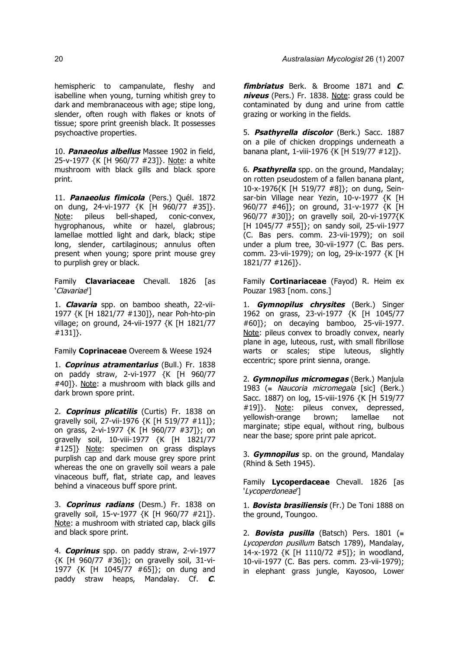hemispheric to campanulate, fleshy and isabelline when young, turning whitish grey to dark and membranaceous with age; stipe long, slender, often rough with flakes or knots of tissue; spore print greenish black. It possesses psychoactive properties.

10. **Panaeolus albellus** Massee 1902 in field, 25-v-1977 {K [H 960/77 #23]}. Note: a white mushroom with black gills and black spore print.

11. **Panaeolus fimicola** (Pers.) Quél. 1872 on dung, 24-vi-1977 {K [H 960/77 #35]}. Note: pileus bell-shaped, conic-convex, hygrophanous, white or hazel, glabrous; lamellae mottled light and dark, black; stipe long, slender, cartilaginous; annulus often present when young; spore print mouse grey to purplish grey or black.

Family **Clavariaceae** Chevall. 1826 [as 'Clavariae']

1. **Clavaria** spp. on bamboo sheath, 22-vii-1977 {K [H 1821/77 #130]}, near Poh-hto-pin village; on ground, 24-vii-1977 {K [H 1821/77 #131]}.

Family **Coprinaceae** Overeem & Weese 1924

1. **Coprinus atramentarius** (Bull.) Fr. 1838 on paddy straw, 2-vi-1977 {K [H 960/77 #40]}. Note: a mushroom with black gills and dark brown spore print.

2. **Coprinus plicatilis** (Curtis) Fr. 1838 on gravelly soil, 27-vii-1976 {K [H 519/77 #11]}; on grass, 2-vi-1977 {K [H 960/77 #37]}; on gravelly soil, 10-viii-1977 {K [H 1821/77 #125]} Note: specimen on grass displays purplish cap and dark mouse grey spore print whereas the one on gravelly soil wears a pale vinaceous buff, flat, striate cap, and leaves behind a vinaceous buff spore print.

3. **Coprinus radians** (Desm.) Fr. 1838 on gravelly soil, 15-v-1977 {K [H 960/77 #21]}. Note: a mushroom with striated cap, black gills and black spore print.

4. **Coprinus** spp. on paddy straw, 2-vi-1977 {K [H 960/77 #36]}; on gravelly soil, 31-vi-1977 {K [H 1045/77 #65]}; on dung and paddy straw heaps, Mandalay. Cf. **C**. **fimbriatus** Berk. & Broome 1871 and **C**. **niveus** (Pers.) Fr. 1838. Note: grass could be contaminated by dung and urine from cattle grazing or working in the fields.

5. **Psathyrella discolor** (Berk.) Sacc. 1887 on a pile of chicken droppings underneath a banana plant, 1-viii-1976 {K [H 519/77 #12]}.

6. **Psathyrella** spp. on the ground, Mandalay; on rotten pseudostem of a fallen banana plant, 10-x-1976{K [H 519/77 #8]}; on dung, Seinsar-bin Village near Yezin, 10-v-1977 {K [H 960/77 #46]}; on ground, 31-v-1977 {K [H 960/77 #30]}; on gravelly soil, 20-vi-1977{K [H 1045/77 #55]}; on sandy soil, 25-vii-1977 (C. Bas pers. comm. 23-vii-1979); on soil under a plum tree, 30-vii-1977 (C. Bas pers. comm. 23-vii-1979); on log, 29-ix-1977 {K [H 1821/77 #126]}.

Family **Cortinariaceae** (Fayod) R. Heim ex Pouzar 1983 [nom. cons.]

1. **Gymnopilus chrysites** (Berk.) Singer 1962 on grass, 23-vi-1977 {K [H 1045/77 #60]}; on decaying bamboo, 25-vii-1977. Note: pileus convex to broadly convex, nearly plane in age, luteous, rust, with small fibrillose warts or scales; stipe luteous, slightly eccentric; spore print sienna, orange.

2. **Gymnopilus micromegas** (Berk.) Manjula 1983 (= Naucoria micromegala [sic] (Berk.) Sacc. 1887) on log, 15-viii-1976 {K [H 519/77 #19]}. Note: pileus convex, depressed, yellowish-orange brown; lamellae not marginate; stipe equal, without ring, bulbous near the base; spore print pale apricot.

3. **Gymnopilus** sp. on the ground, Mandalay (Rhind & Seth 1945).

Family **Lycoperdaceae** Chevall. 1826 [as 'Lycoperdoneae']

1. **Bovista brasiliensis** (Fr.) De Toni 1888 on the ground, Toungoo.

2. **Bovista pusilla** (Batsch) Pers. 1801 (≡ Lycoperdon pusillum Batsch 1789), Mandalay, 14-x-1972 {K [H 1110/72 #5]}; in woodland, 10-vii-1977 (C. Bas pers. comm. 23-vii-1979); in elephant grass jungle, Kayosoo, Lower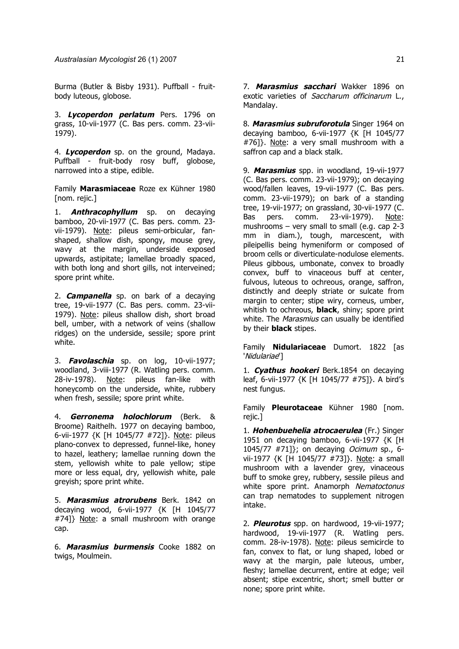Burma (Butler & Bisby 1931). Puffball - fruitbody luteous, globose.

3. **Lycoperdon perlatum** Pers. 1796 on grass, 10-vii-1977 (C. Bas pers. comm. 23-vii-1979).

4. **Lycoperdon** sp. on the ground, Madaya. Puffball - fruit-body rosy buff, globose, narrowed into a stipe, edible.

Family **Marasmiaceae** Roze ex Kühner 1980 [nom. rejic.]

1. **Anthracophyllum** sp. on decaying bamboo, 20-vii-1977 (C. Bas pers. comm. 23 vii-1979). Note: pileus semi-orbicular, fanshaped, shallow dish, spongy, mouse grey, wavy at the margin, underside exposed upwards, astipitate; lamellae broadly spaced, with both long and short gills, not interveined; spore print white.

2. **Campanella** sp. on bark of a decaying tree, 19-vii-1977 (C. Bas pers. comm. 23-vii-1979). Note: pileus shallow dish, short broad bell, umber, with a network of veins (shallow ridges) on the underside, sessile; spore print white.

3. **Favolaschia** sp. on log, 10-vii-1977; woodland, 3-viii-1977 (R. Watling pers. comm. 28-iv-1978). Note: pileus fan-like with honeycomb on the underside, white, rubbery when fresh, sessile; spore print white.

4. **Gerronema holochlorum** (Berk. & Broome) Raithelh. 1977 on decaying bamboo, 6-vii-1977 {K [H 1045/77 #72]}. Note: pileus plano-convex to depressed, funnel-like, honey to hazel, leathery; lamellae running down the stem, yellowish white to pale yellow; stipe more or less equal, dry, yellowish white, pale greyish; spore print white.

5. **Marasmius atrorubens** Berk. 1842 on decaying wood, 6-vii-1977 {K [H 1045/77 #74]} Note: a small mushroom with orange cap.

6. **Marasmius burmensis** Cooke 1882 on twigs, Moulmein.

7. **Marasmius sacchari** Wakker 1896 on exotic varieties of Saccharum officinarum L., Mandalay.

8. **Marasmius subruforotula** Singer 1964 on decaying bamboo, 6-vii-1977 {K [H 1045/77 #76]}. Note: a very small mushroom with a saffron cap and a black stalk.

9. **Marasmius** spp. in woodland, 19-vii-1977 (C. Bas pers. comm. 23-vii-1979); on decaying wood/fallen leaves, 19-vii-1977 (C. Bas pers. comm. 23-vii-1979); on bark of a standing tree, 19-vii-1977; on grassland, 30-vii-1977 (C. Bas pers. comm. 23-vii-1979). Note: mushrooms – very small to small (e.g. cap 2-3 mm in diam.), tough, marcescent, with pileipellis being hymeniform or composed of broom cells or diverticulate-nodulose elements. Pileus gibbous, umbonate, convex to broadly convex, buff to vinaceous buff at center, fulvous, luteous to ochreous, orange, saffron, distinctly and deeply striate or sulcate from margin to center; stipe wiry, corneus, umber, whitish to ochreous, **black**, shiny; spore print white. The Marasmius can usually be identified by their **black** stipes.

Family **Nidulariaceae** Dumort. 1822 [as 'Nidulariae']

1. **Cyathus hookeri** Berk.1854 on decaying leaf, 6-vii-1977 {K [H 1045/77 #75]}. A bird's nest fungus.

Family **Pleurotaceae** Kühner 1980 [nom. rejic.]

1. **Hohenbuehelia atrocaerulea** (Fr.) Singer 1951 on decaying bamboo, 6-vii-1977 {K [H 1045/77 #71]}; on decaying Ocimum sp., 6 vii-1977 {K [H 1045/77 #73]}. Note: a small mushroom with a lavender grey, vinaceous buff to smoke grey, rubbery, sessile pileus and white spore print. Anamorph Nematoctonus can trap nematodes to supplement nitrogen intake.

2. **Pleurotus** spp. on hardwood, 19-vii-1977; hardwood, 19-vii-1977 (R. Watling pers. comm. 28-iv-1978). Note: pileus semicircle to fan, convex to flat, or lung shaped, lobed or wavy at the margin, pale luteous, umber, fleshy; lamellae decurrent, entire at edge; veil absent; stipe excentric, short; smell butter or none; spore print white.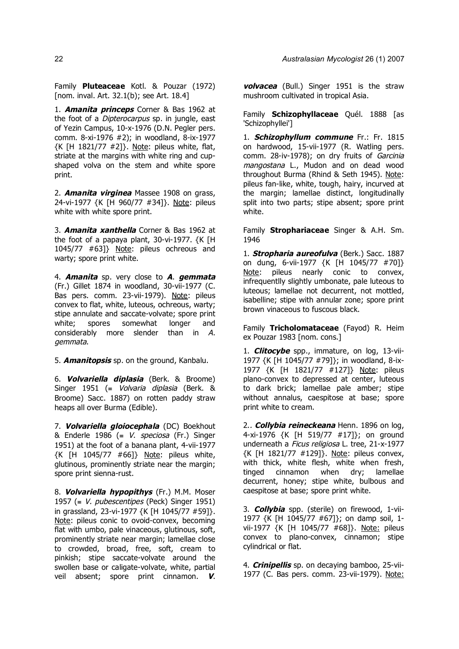Family **Pluteaceae** Kotl. & Pouzar (1972) [nom. inval. Art. 32.1(b); see Art. 18.4]

1. **Amanita princeps** Corner & Bas 1962 at the foot of a *Dipterocarpus* sp. in jungle, east of Yezin Campus, 10-x-1976 (D.N. Pegler pers. comm. 8-xi-1976 #2); in woodland, 8-ix-1977 {K [H 1821/77 #2]}. Note: pileus white, flat, striate at the margins with white ring and cupshaped volva on the stem and white spore print.

2. **Amanita virginea** Massee 1908 on grass, 24-vi-1977 {K [H 960/77 #34]}. Note: pileus white with white spore print.

3. **Amanita xanthella** Corner & Bas 1962 at the foot of a papaya plant, 30-vi-1977. {K [H 1045/77 #63]} Note: pileus ochreous and warty; spore print white.

4. **Amanita** sp. very close to **A**. **gemmata** (Fr.) Gillet 1874 in woodland, 30-vii-1977 (C. Bas pers. comm. 23-vii-1979). Note: pileus convex to flat, white, luteous, ochreous, warty; stipe annulate and saccate-volvate; spore print white; spores somewhat longer and considerably more slender than in A. gemmata.

5. **Amanitopsis** sp. on the ground, Kanbalu.

6. **Volvariella diplasia** (Berk. & Broome) Singer 1951 (≡ Volvaria diplasia (Berk. & Broome) Sacc. 1887) on rotten paddy straw heaps all over Burma (Edible).

7. **Volvariella gloiocephala** (DC) Boekhout & Enderle 1986 (=  $V$ . *speciosa* (Fr.) Singer 1951) at the foot of a banana plant, 4-vii-1977 {K [H 1045/77 #66]} Note: pileus white, glutinous, prominently striate near the margin; spore print sienna-rust.

8. **Volvariella hypopithys** (Fr.) M.M. Moser 1957 (=  $V.$  pubescentipes (Peck) Singer 1951) in grassland, 23-vi-1977 {K [H 1045/77 #59]}. Note: pileus conic to ovoid-convex, becoming flat with umbo, pale vinaceous, glutinous, soft, prominently striate near margin; lamellae close to crowded, broad, free, soft, cream to pinkish; stipe saccate-volvate around the swollen base or caligate-volvate, white, partial veil absent; spore print cinnamon. **V**. **volvacea** (Bull.) Singer 1951 is the straw mushroom cultivated in tropical Asia.

Family **Schizophyllaceae** Quél. 1888 [as 'Schizophyllei']

1. **Schizophyllum commune** Fr.: Fr. 1815 on hardwood, 15-vii-1977 (R. Watling pers. comm. 28-iv-1978); on dry fruits of Garcinia mangostana L., Mudon and on dead wood throughout Burma (Rhind & Seth 1945). Note: pileus fan-like, white, tough, hairy, incurved at the margin; lamellae distinct, longitudinally split into two parts; stipe absent; spore print white.

Family **Strophariaceae** Singer & A.H. Sm. 1946

1. **Stropharia aureofulva** (Berk.) Sacc. 1887 on dung, 6-vii-1977 {K [H 1045/77 #70]} Note: pileus nearly conic to convex, infrequentlly slightly umbonate, pale luteous to luteous; lamellae not decurrent, not mottled, isabelline; stipe with annular zone; spore print brown vinaceous to fuscous black.

Family **Tricholomataceae** (Fayod) R. Heim ex Pouzar 1983 [nom. cons.]

1. **Clitocybe** spp., immature, on log, 13-vii-1977 {K [H 1045/77 #79]}; in woodland, 8-ix-1977 {K [H 1821/77 #127]} Note: pileus plano-convex to depressed at center, luteous to dark brick; lamellae pale amber; stipe without annalus, caespitose at base; spore print white to cream.

2.. **Collybia reineckeana** Henn. 1896 on log, 4-xi-1976 {K [H 519/77 #17]}; on ground underneath a Ficus religiosa L. tree, 21-x-1977 {K [H 1821/77 #129]}. Note: pileus convex, with thick, white flesh, white when fresh, tinged cinnamon when dry; lamellae decurrent, honey; stipe white, bulbous and caespitose at base; spore print white.

3. **Collybia** spp. (sterile) on firewood, 1-vii-1977 {K [H 1045/77 #67]}; on damp soil, 1 vii-1977 {K [H 1045/77 #68]}. Note: pileus convex to plano-convex, cinnamon; stipe cylindrical or flat.

4. **Crinipellis** sp. on decaying bamboo, 25-vii-1977 (C. Bas pers. comm. 23-vii-1979). Note: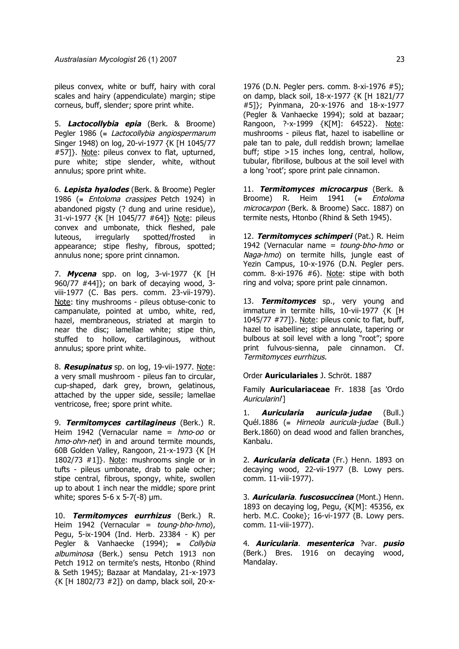pileus convex, white or buff, hairy with coral scales and hairy (appendiculate) margin; stipe corneus, buff, slender; spore print white.

5. **Lactocollybia epia** (Berk. & Broome) Pegler 1986 (= Lactocollybia angiospermarum Singer 1948) on log, 20-vi-1977 {K [H 1045/77 #57]}. Note: pileus convex to flat, upturned, pure white; stipe slender, white, without annulus; spore print white.

6. **Lepista hyalodes** (Berk. & Broome) Pegler 1986 (= *Entoloma crassipes* Petch 1924) in abandoned pigsty (? dung and urine residue), 31-vi-1977 {K [H 1045/77 #64]} Note: pileus convex and umbonate, thick fleshed, pale luteous, irregularly spotted/frosted in appearance; stipe fleshy, fibrous, spotted; annulus none; spore print cinnamon.

7. **Mycena** spp. on log, 3-vi-1977 {K [H 960/77 #44]}; on bark of decaying wood, 3 viii-1977 (C. Bas pers. comm. 23-vii-1979). Note: tiny mushrooms - pileus obtuse-conic to campanulate, pointed at umbo, white, red, hazel, membraneous, striated at margin to near the disc; lamellae white; stipe thin, stuffed to hollow, cartilaginous, without annulus; spore print white.

8. **Resupinatus** sp. on log, 19-vii-1977. Note: a very small mushroom - pileus fan to circular, cup-shaped, dark grey, brown, gelatinous, attached by the upper side, sessile; lamellae ventricose, free; spore print white.

9. **Termitomyces cartilagineus** (Berk.) R. Heim 1942 (Vernacular name =  $h$ mo-oo or hmo-ohn-net) in and around termite mounds, 60B Golden Valley, Rangoon, 21-x-1973 {K [H 1802/73 #1]}. Note: mushrooms single or in tufts - pileus umbonate, drab to pale ocher; stipe central, fibrous, spongy, white, swollen up to about 1 inch near the middle; spore print white; spores 5-6 x 5-7(-8) µm.

10. **Termitomyces eurrhizus** (Berk.) R. Heim 1942 (Vernacular = toung-bho-hmo), Pegu, 5-ix-1904 (Ind. Herb. 23384 - K) per Pegler & Vanhaecke (1994); ≡ Collybia albuminosa (Berk.) sensu Petch 1913 non Petch 1912 on termite's nests, Htonbo (Rhind & Seth 1945); Bazaar at Mandalay, 21-x-1973 {K [H 1802/73 #2]} on damp, black soil, 20-x1976 (D.N. Pegler pers. comm. 8-xi-1976 #5); on damp, black soil, 18-x-1977 {K [H 1821/77 #5]}; Pyinmana, 20-x-1976 and 18-x-1977 (Pegler & Vanhaecke 1994); sold at bazaar; Rangoon, ?-x-1999 {K[M]: 64522}. Note: mushrooms - pileus flat, hazel to isabelline or pale tan to pale, dull reddish brown; lamellae buff; stipe >15 inches long, central, hollow, tubular, fibrillose, bulbous at the soil level with a long 'root'; spore print pale cinnamon.

11. **Termitomyces microcarpus** (Berk. & Broome) R. Heim 1941 ( $\equiv$  Entoloma microcarpon (Berk. & Broome) Sacc. 1887) on termite nests, Htonbo (Rhind & Seth 1945).

12. **Termitomyces schimperi** (Pat.) R. Heim 1942 (Vernacular name  $=$  toung-bho-hmo or Naga-hmo) on termite hills, jungle east of Yezin Campus, 10-x-1976 (D.N. Pegler pers. comm. 8-xi-1976 #6). Note: stipe with both ring and volva; spore print pale cinnamon.

13. **Termitomyces** sp., very young and immature in termite hills, 10-vii-1977 {K [H 1045/77 #77]}. Note: pileus conic to flat, buff, hazel to isabelline; stipe annulate, tapering or bulbous at soil level with a long "root"; spore print fulvous-sienna, pale cinnamon. Cf. Termitomyces eurrhizus.

Order **Auriculariales** J. Schröt. 1887

Family **Auriculariaceae** Fr. 1838 [as 'Ordo Auricularini<sup>'</sup>]

1. **Auricularia auricula**-**judae** (Bull.) Quél.1886 (= Hirneola auricula-judae (Bull.) Berk.1860) on dead wood and fallen branches, Kanbalu.

2. **Auricularia delicata** (Fr.) Henn. 1893 on decaying wood, 22-vii-1977 (B. Lowy pers. comm. 11-viii-1977).

3. **Auricularia**. **fuscosuccinea** (Mont.) Henn. 1893 on decaying log, Pegu, {K[M]: 45356, ex herb. M.C. Cooke}; 16-vi-1977 (B. Lowy pers. comm. 11-viii-1977).

4. **Auricularia**. **mesenterica** ?var. **pusio** (Berk.) Bres. 1916 on decaying wood, Mandalay.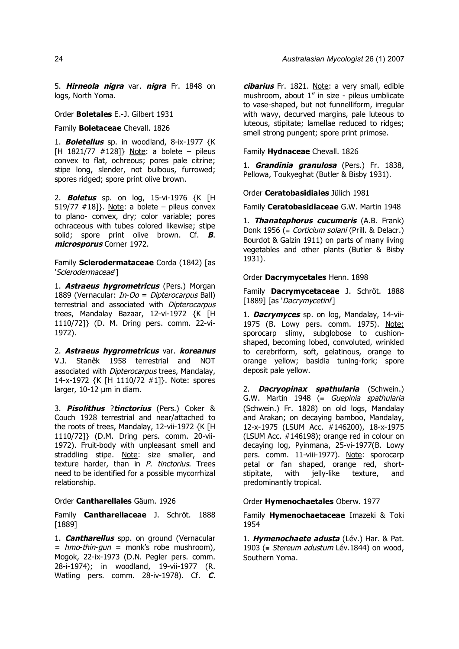5. **Hirneola nigra** var. **nigra** Fr. 1848 on logs, North Yoma.

Order **Boletales** E.-J. Gilbert 1931

Family **Boletaceae** Chevall. 1826

1. **Boletellus** sp. in woodland, 8-ix-1977 {K [H 1821/77 #128]} Note: a bolete – pileus convex to flat, ochreous; pores pale citrine; stipe long, slender, not bulbous, furrowed; spores ridged; spore print olive brown.

2. **Boletus** sp. on log, 15-vi-1976 {K [H 519/77  $\#18$ ]}. Note: a bolete – pileus convex to plano- convex, dry; color variable; pores ochraceous with tubes colored likewise; stipe solid; spore print olive brown. Cf. **B**. **microsporus** Corner 1972.

Family **Sclerodermataceae** Corda (1842) [as 'Sclerodermaceae']

1. **Astraeus hygrometricus** (Pers.) Morgan 1889 (Vernacular: In-Oo = Dipterocarpus Ball) terrestrial and associated with Dipterocarpus trees, Mandalay Bazaar, 12-vi-1972 {K [H 1110/72]} (D. M. Dring pers. comm. 22-vi-1972).

2. **Astraeus hygrometricus** var. **koreanus** V.J. Staněk 1958 terrestrial and NOT associated with *Dipterocarpus* trees, Mandalay, 14-x-1972 {K [H 1110/72 #1]}. Note: spores larger, 10-12 µm in diam.

3. **Pisolithus** ?**tinctorius** (Pers.) Coker & Couch 1928 terrestrial and near/attached to the roots of trees, Mandalay, 12-vii-1972 {K [H 1110/72]} (D.M. Dring pers. comm. 20-vii-1972). Fruit-body with unpleasant smell and straddling stipe. Note: size smaller, and texture harder, than in P. tinctorius. Trees need to be identified for a possible mycorrhizal relationship.

Order **Cantharellales** Gäum. 1926

Family **Cantharellaceae** J. Schröt. 1888 [1889]

1. **Cantharellus** spp. on ground (Vernacular  $=$  hmo-thin-gun = monk's robe mushroom), Mogok, 22-ix-1973 (D.N. Pegler pers. comm. 28-i-1974); in woodland, 19-vii-1977 (R. Watling pers. comm. 28-iv-1978). Cf. **C**.

**cibarius** Fr. 1821. Note: a very small, edible mushroom, about 1" in size - pileus umblicate to vase-shaped, but not funnelliform, irregular with wavy, decurved margins, pale luteous to luteous, stipitate; lamellae reduced to ridges; smell strong pungent; spore print primose.

Family **Hydnaceae** Chevall. 1826

1. **Grandinia granulosa** (Pers.) Fr. 1838, Pellowa, Toukyeghat (Butler & Bisby 1931).

Order **Ceratobasidiales** Jülich 1981

Family **Ceratobasidiaceae** G.W. Martin 1948

1. **Thanatephorus cucumeris** (A.B. Frank) Donk 1956 (= Corticium solani (Prill. & Delacr.) Bourdot & Galzin 1911) on parts of many living vegetables and other plants (Butler & Bisby 1931).

Order **Dacrymycetales** Henn. 1898

Family **Dacrymycetaceae** J. Schröt. 1888 [1889] [as 'Dacrymycetini']

1. **Dacrymyces** sp. on log, Mandalay, 14-vii-1975 (B. Lowy pers. comm. 1975). Note: sporocarp slimy, subglobose to cushionshaped, becoming lobed, convoluted, wrinkled to cerebriform, soft, gelatinous, orange to orange yellow; basidia tuning-fork; spore deposit pale yellow.

2. **Dacryopinax spathularia** (Schwein.) G.W. Martin 1948 ( $\equiv$  Guepinia spathularia (Schwein.) Fr. 1828) on old logs, Mandalay and Arakan; on decaying bamboo, Mandalay, 12-x-1975 (LSUM Acc. #146200), 18-x-1975 (LSUM Acc. #146198); orange red in colour on decaying log, Pyinmana, 25-vi-1977(B. Lowy pers. comm. 11-viii-1977). Note: sporocarp petal or fan shaped, orange red, shortstipitate, with jelly-like texture, and predominantly tropical.

Order **Hymenochaetales** Oberw. 1977

Family **Hymenochaetaceae** Imazeki & Toki 1954

1. **Hymenochaete adusta** (Lév.) Har. & Pat. 1903 (= Stereum adustum Lév.1844) on wood, Southern Yoma.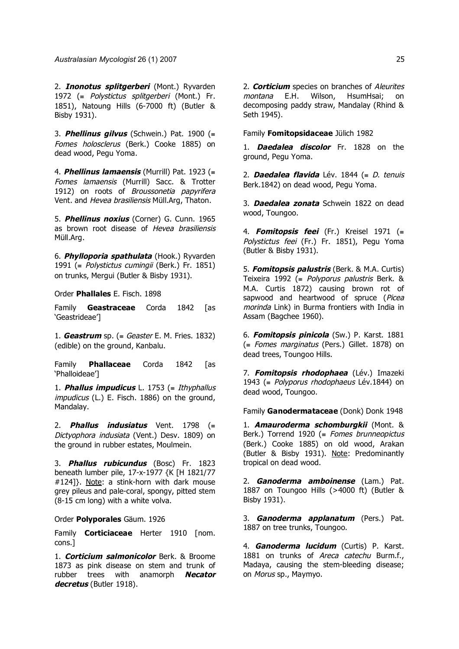*Australasian Mycologist* 26 (1) 2007 25

2. **Inonotus splitgerberi** (Mont.) Ryvarden 1972 (≡ Polystictus splitgerberi (Mont.) Fr. 1851), Natoung Hills (6-7000 ft) (Butler & Bisby 1931).

3. **Phellinus gilvus** (Schwein.) Pat. 1900 (≡ Fomes holosclerus (Berk.) Cooke 1885) on dead wood, Pegu Yoma.

4. **Phellinus lamaensis** (Murrill) Pat. 1923 (≡ Fomes lamaensis (Murrill) Sacc. & Trotter 1912) on roots of Broussonetia papyrifera Vent. and Hevea brasiliensis Müll.Arg, Thaton.

5. **Phellinus noxius** (Corner) G. Cunn. 1965 as brown root disease of Hevea brasiliensis Müll.Arg.

6. **Phylloporia spathulata** (Hook.) Ryvarden 1991 (≡ Polystictus cumingii (Berk.) Fr. 1851) on trunks, Mergui (Butler & Bisby 1931).

Order **Phallales** E. Fisch. 1898

Family **Geastraceae** Corda 1842 [as 'Geastrideae']

1. **Geastrum** sp. (≡ Geaster E. M. Fries. 1832) (edible) on the ground, Kanbalu.

Family **Phallaceae** Corda 1842 [as 'Phalloideae']

1. **Phallus impudicus** L. 1753 (≡ Ithyphallus impudicus (L.) E. Fisch. 1886) on the ground, Mandalay.

2. **Phallus indusiatus** Vent. 1798 (≡ Dictyophora indusiata (Vent.) Desv. 1809) on the ground in rubber estates, Moulmein.

3. **Phallus rubicundus** (Bosc) Fr. 1823 beneath lumber pile, 17-x-1977 {K [H 1821/77 #124]}. Note: a stink-horn with dark mouse grey pileus and pale-coral, spongy, pitted stem (8-15 cm long) with a white volva.

Order **Polyporales** Gäum. 1926

Family **Corticiaceae** Herter 1910 [nom. cons.]

1. **Corticium salmonicolor** Berk. & Broome 1873 as pink disease on stem and trunk of rubber trees with anamorph **Necator decretus** (Butler 1918).

2. **Corticium** species on branches of Aleurites montana E.H. Wilson, HsumHsai; on decomposing paddy straw, Mandalay (Rhind & Seth 1945).

Family **Fomitopsidaceae** Jülich 1982

1. **Daedalea discolor** Fr. 1828 on the ground, Pegu Yoma.

2. **Daedalea flavida** Lév. 1844 (≡ <sup>D</sup>. tenuis Berk.1842) on dead wood, Pegu Yoma.

3. **Daedalea zonata** Schwein 1822 on dead wood, Toungoo.

4. **Fomitopsis feei** (Fr.) Kreisel 1971 (≡ Polystictus feei (Fr.) Fr. 1851), Pegu Yoma (Butler & Bisby 1931).

5. **Fomitopsis palustris** (Berk. & M.A. Curtis) Teixeira 1992 (= Polyporus palustris Berk. & M.A. Curtis 1872) causing brown rot of sapwood and heartwood of spruce (Picea morinda Link) in Burma frontiers with India in Assam (Bagchee 1960).

6. **Fomitopsis pinicola** (Sw.) P. Karst. 1881 (≡ Fomes marginatus (Pers.) Gillet. 1878) on dead trees, Toungoo Hills.

7. **Fomitopsis rhodophaea** (Lév.) Imazeki 1943 (= Polyporus rhodophaeus Lév.1844) on dead wood, Toungoo.

Family **Ganodermataceae** (Donk) Donk 1948

1. **Amauroderma schomburgkii** (Mont. & Berk.) Torrend 1920 ( $\equiv$  Fomes brunneopictus (Berk.) Cooke 1885) on old wood, Arakan (Butler & Bisby 1931). Note: Predominantly tropical on dead wood.

2. **Ganoderma amboinense** (Lam.) Pat. 1887 on Toungoo Hills (>4000 ft) (Butler & Bisby 1931).

3. **Ganoderma applanatum** (Pers.) Pat. 1887 on tree trunks, Toungoo.

4. **Ganoderma lucidum** (Curtis) P. Karst. 1881 on trunks of Areca catechu Burm.f., Madaya, causing the stem-bleeding disease; on Morus sp., Maymyo.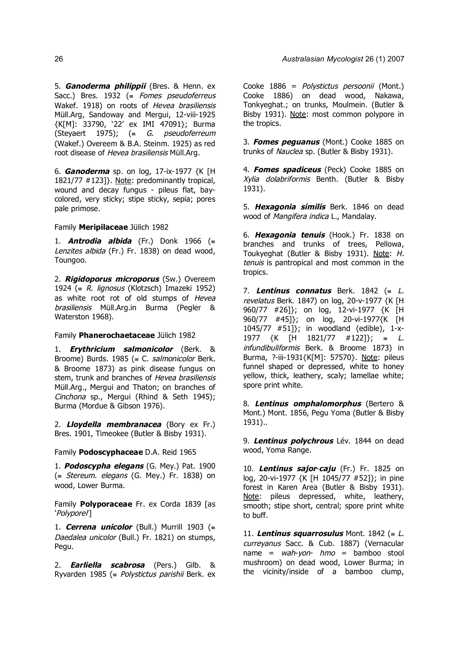5. **Ganoderma philippii** (Bres. & Henn. ex Sacc.) Bres. 1932 ( $\equiv$  Fomes pseudoferreus Wakef. 1918) on roots of Hevea brasiliensis Müll.Arg, Sandoway and Mergui, 12-viii-1925 {K[M]: 33790, '22' ex IMI 47091}; Burma (Steyaert 1975);  $(≡ G. pseudoferreum)$ 

6. **Ganoderma** sp. on log, 17-ix-1977 {K [H 1821/77 #123]}. Note: predominantly tropical, wound and decay fungus - pileus flat, baycolored, very sticky; stipe sticky, sepia; pores pale primose.

(Wakef.) Overeem & B.A. Steinm. 1925) as red root disease of Hevea brasiliensis Müll.Arg.

### Family **Meripilaceae** Jülich 1982

1. **Antrodia albida** (Fr.) Donk 1966 (≡ Lenzites albida (Fr.) Fr. 1838) on dead wood, Toungoo.

2. **Rigidoporus microporus** (Sw.) Overeem 1924 (= R. lignosus (Klotzsch) Imazeki 1952) as white root rot of old stumps of Hevea brasiliensis Müll.Arg.in Burma (Pegler & Waterston 1968).

### Family **Phanerochaetaceae** Jülich 1982

1. **Erythricium salmonicolor** (Berk. & Broome) Burds. 1985 (= C. salmonicolor Berk. & Broome 1873) as pink disease fungus on stem, trunk and branches of Hevea brasiliensis Müll.Arg., Mergui and Thaton; on branches of Cinchona sp., Mergui (Rhind & Seth 1945); Burma (Mordue & Gibson 1976).

2. **Lloydella membranacea** (Bory ex Fr.) Bres. 1901, Timeokee (Butler & Bisby 1931).

Family **Podoscyphaceae** D.A. Reid 1965

1. **Podoscypha elegans** (G. Mey.) Pat. 1900  $($ ≡ *Stereum. elegans* (G. Mey.) Fr. 1838) on wood, Lower Burma.

Family **Polyporaceae** Fr. ex Corda 1839 [as 'Polyporei']

1. **Cerrena unicolor** (Bull.) Murrill 1903 (≡ Daedalea unicolor (Bull.) Fr. 1821) on stumps, Pegu.

2. **Earliella scabrosa** (Pers.) Gilb. & Ryvarden 1985 (= Polystictus parishii Berk. ex

Cooke 1886 = Polystictus persoonii (Mont.) Cooke 1886) on dead wood, Nakawa, Tonkyeghat.; on trunks, Moulmein. (Butler & Bisby 1931). Note: most common polypore in the tropics.

3. **Fomes peguanus** (Mont.) Cooke 1885 on trunks of Nauclea sp. (Butler & Bisby 1931).

4. **Fomes spadiceus** (Peck) Cooke 1885 on Xylia dolabriformis Benth. (Butler & Bisby 1931).

5. **Hexagonia similis** Berk. 1846 on dead wood of Mangifera indica L., Mandalay.

6. **Hexagonia tenuis** (Hook.) Fr. 1838 on branches and trunks of trees, Pellowa, Toukyeghat (Butler & Bisby 1931). Note: H. tenuis is pantropical and most common in the tropics.

7. **Lentinus connatus** Berk. 1842 (≡ <sup>L</sup>. revelatus Berk. 1847) on log, 20-y-1977 {K [H] 960/77 #26]}; on log, 12-vi-1977 {K [H 960/77 #45]}; on log, 20-vi-1977{K [H  $1045/77$  #51]}; in woodland (edible), 1-x-1977 {K [H 1821/77 #122]}; ≡ <sup>L</sup>. infundibuliformis Berk. & Broome 1873) in Burma, ?-iii-1931{K[M]: 57570}. Note: pileus funnel shaped or depressed, white to honey yellow, thick, leathery, scaly; lamellae white; spore print white.

8. **Lentinus omphalomorphus** (Bertero & Mont.) Mont. 1856, Pegu Yoma (Butler & Bisby 1931)..

9. **Lentinus polychrous** Lév. 1844 on dead wood, Yoma Range.

10. **Lentinus sajor**-**caju** (Fr.) Fr. 1825 on log, 20-vi-1977 {K [H 1045/77 #52]}; in pine forest in Karen Area (Butler & Bisby 1931). Note: pileus depressed, white, leathery, smooth; stipe short, central; spore print white to buff.

11. **Lentinus squarrosulus** Mont. 1842 ( $\equiv$  L. curreyanus Sacc. & Cub. 1887) (Vernacular name =  $wah\text{-}von\text{-} hmo$  = bamboo stool mushroom) on dead wood, Lower Burma; in the vicinity/inside of a bamboo clump,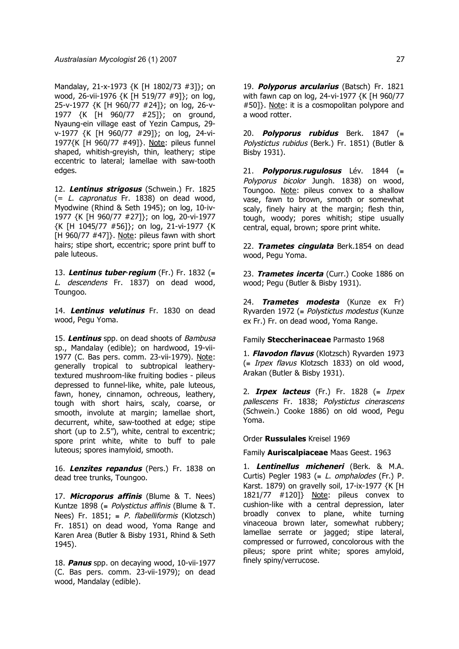Mandalay, 21-x-1973 {K [H 1802/73 #3]}; on wood, 26-vii-1976 {K [H 519/77 #9]}; on log, 25-v-1977 {K [H 960/77 #24]}; on log, 26-v-1977 {K [H 960/77 #25]}; on ground, Nyaung-ein village east of Yezin Campus, 29 v-1977 {K [H 960/77 #29]}; on log, 24-vi-1977{K [H 960/77 #49]}. Note: pileus funnel shaped, whitish-greyish, thin, leathery; stipe eccentric to lateral; lamellae with saw-tooth edges.

12. **Lentinus strigosus** (Schwein.) Fr. 1825  $(= L.$  *capronatus* Fr. 1838) on dead wood, Myodwine (Rhind & Seth 1945); on log, 10-iv-1977 {K [H 960/77 #27]}; on log, 20-vi-1977 {K [H 1045/77 #56]}; on log, 21-vi-1977 {K [H 960/77 #47]}. Note: pileus fawn with short hairs; stipe short, eccentric; spore print buff to pale luteous.

13. **Lentinus tuber**-**regium** (Fr.) Fr. 1832 (≡ L. descendens Fr. 1837) on dead wood, Toungoo.

14. **Lentinus velutinus** Fr. 1830 on dead wood, Pegu Yoma.

15. **Lentinus** spp. on dead shoots of Bambusa sp., Mandalay (edible); on hardwood, 19-vii-1977 (C. Bas pers. comm. 23-vii-1979). Note: generally tropical to subtropical leatherytextured mushroom-like fruiting bodies - pileus depressed to funnel-like, white, pale luteous, fawn, honey, cinnamon, ochreous, leathery, tough with short hairs, scaly, coarse, or smooth, involute at margin; lamellae short, decurrent, white, saw-toothed at edge; stipe short (up to 2.5"), white, central to excentric; spore print white, white to buff to pale luteous; spores inamyloid, smooth.

16. **Lenzites repandus** (Pers.) Fr. 1838 on dead tree trunks, Toungoo.

17. **Microporus affinis** (Blume & T. Nees) Kuntze 1898 (= Polystictus affinis (Blume & T. Nees) Fr. 1851;  $= P$ . flabelliformis (Klotzsch) Fr. 1851) on dead wood, Yoma Range and Karen Area (Butler & Bisby 1931, Rhind & Seth 1945).

18. **Panus** spp. on decaying wood, 10-vii-1977 (C. Bas pers. comm. 23-vii-1979); on dead wood, Mandalay (edible).

19. **Polyporus arcularius** (Batsch) Fr. 1821 with fawn cap on log, 24-vi-1977 {K [H 960/77 #50]}. Note: it is a cosmopolitan polypore and a wood rotter.

20. **Polyporus rubidus** Berk. 1847 (≡ Polystictus rubidus (Berk.) Fr. 1851) (Butler & Bisby 1931).

21. **Polyporus**.**rugulosus** Lév. 1844 (≡ Polyporus bicolor Jungh. 1838) on wood, Toungoo. Note: pileus convex to a shallow vase, fawn to brown, smooth or somewhat scaly, finely hairy at the margin; flesh thin, tough, woody; pores whitish; stipe usually central, equal, brown; spore print white.

22. **Trametes cingulata** Berk.1854 on dead wood, Pegu Yoma.

23. **Trametes incerta** (Curr.) Cooke 1886 on wood; Pegu (Butler & Bisby 1931).

24. **Trametes modesta** (Kunze ex Fr) Ryvarden 1972 (≡ Polystictus modestus (Kunze ex Fr.) Fr. on dead wood, Yoma Range.

Family **Steccherinaceae** Parmasto 1968

1. **Flavodon flavus** (Klotzsch) Ryvarden 1973  $($  Irpex flavus Klotzsch 1833) on old wood, Arakan (Butler & Bisby 1931).

2. **Irpex lacteus** (Fr.) Fr. 1828 (≡ Irpex pallescens Fr. 1838; Polystictus cinerascens (Schwein.) Cooke 1886) on old wood, Pegu Yoma.

Order **Russulales** Kreisel 1969

Family **Auriscalpiaceae** Maas Geest. 1963

1. **Lentinellus micheneri** (Berk. & M.A. Curtis) Pegler 1983 (= L. omphalodes (Fr.) P. Karst. 1879) on gravelly soil, 17-ix-1977 {K [H 1821/77 #120]} Note: pileus convex to cushion-like with a central depression, later broadly convex to plane, white turning vinaceoua brown later, somewhat rubbery; lamellae serrate or jagged; stipe lateral, compressed or furrowed, concolorous with the pileus; spore print white; spores amyloid, finely spiny/verrucose.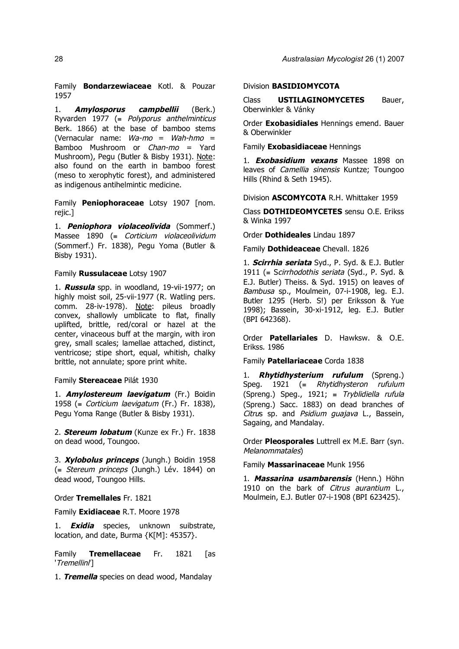Family **Bondarzewiaceae** Kotl. & Pouzar 1957

1. **Amylosporus campbellii** (Berk.) Ryvarden 1977 (= Polyporus anthelminticus Berk. 1866) at the base of bamboo stems (Vernacular name:  $Wa\text{-}mo = Wah\text{-}hmo =$ Bamboo Mushroom or Chan-mo = Yard Mushroom), Pegu (Butler & Bisby 1931). Note: also found on the earth in bamboo forest (meso to xerophytic forest), and administered as indigenous antihelmintic medicine.

Family **Peniophoraceae** Lotsy 1907 [nom. rejic.]

1. **Peniophora violaceolivida** (Sommerf.) Massee 1890 (≡ Corticium violaceolividum (Sommerf.) Fr. 1838), Pegu Yoma (Butler & Bisby 1931).

## Family **Russulaceae** Lotsy 1907

1. **Russula** spp. in woodland, 19-vii-1977; on highly moist soil, 25-vii-1977 (R. Watling pers. comm. 28-iv-1978). Note: pileus broadly convex, shallowly umblicate to flat, finally uplifted, brittle, red/coral or hazel at the center, vinaceous buff at the margin, with iron grey, small scales; lamellae attached, distinct, ventricose; stipe short, equal, whitish, chalky brittle, not annulate; spore print white.

### Family **Stereaceae** Pilát 1930

1. **Amylostereum laevigatum** (Fr.) Boidin 1958 (= Corticium laevigatum (Fr.) Fr. 1838), Pegu Yoma Range (Butler & Bisby 1931).

2. **Stereum lobatum** (Kunze ex Fr.) Fr. 1838 on dead wood, Toungoo.

3. **Xylobolus princeps** (Jungh.) Boidin 1958 (≡ Stereum princeps (Jungh.) Lév. 1844) on dead wood, Toungoo Hills.

Order **Tremellales** Fr. 1821

Family **Exidiaceae** R.T. Moore 1978

1. **Exidia** species, unknown suibstrate, location, and date, Burma {K[M]: 45357}.

Family **Tremellaceae** Fr. 1821 [as 'Tremellini']

1. **Tremella** species on dead wood, Mandalay

## Division **BASIDIOMYCOTA**

Class **USTILAGINOMYCETES** Bauer, Oberwinkler & Vánky

Order **Exobasidiales** Hennings emend. Bauer & Oberwinkler

Family **Exobasidiaceae** Hennings

1. **Exobasidium vexans** Massee 1898 on leaves of *Camellia sinensis* Kuntze; Toungoo Hills (Rhind & Seth 1945).

Division **ASCOMYCOTA** R.H. Whittaker 1959

Class **DOTHIDEOMYCETES** sensu O.E. Erikss & Winka 1997

Order **Dothideales** Lindau 1897

Family **Dothideaceae** Chevall. 1826

1. **Scirrhia seriata** Syd., P. Syd. & E.J. Butler 1911 (≡ Scirrhodothis seriata (Syd., P. Syd. & E.J. Butler) Theiss. & Syd. 1915) on leaves of Bambusa sp., Moulmein, 07-i-1908, leg. E.J. Butler 1295 (Herb. S!) per Eriksson & Yue 1998); Bassein, 30-xi-1912, leg. E.J. Butler (BPI 642368).

Order **Patellariales** D. Hawksw. & O.E. Erikss. 1986

Family **Patellariaceae** Corda 1838

1. **Rhytidhysterium rufulum** (Spreng.) Speg. 1921 ( $≡$  Rhytidhysteron rufulum (Spreng.) Speg., 1921; ≡ Tryblidiella rufula (Spreng.) Sacc. 1883) on dead branches of Citrus sp. and Psidium guajava L., Bassein, Sagaing, and Mandalay.

Order **Pleosporales** Luttrell ex M.E. Barr (syn. Melanommatales)

Family **Massarinaceae** Munk 1956

1. **Massarina usambarensis** (Henn.) Höhn 1910 on the bark of Citrus aurantium L., Moulmein, E.J. Butler 07-i-1908 (BPI 623425).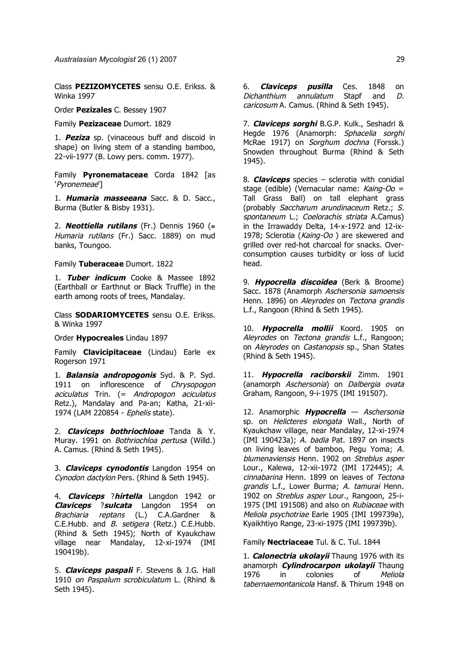Class **PEZIZOMYCETES** sensu O.E. Erikss. & Winka 1997

Order **Pezizales** C. Bessey 1907

Family **Pezizaceae** Dumort. 1829

1. **Peziza** sp. (vinaceous buff and discoid in shape) on living stem of a standing bamboo, 22-vii-1977 (B. Lowy pers. comm. 1977).

Family **Pyronemataceae** Corda 1842 [as 'Pyronemeae']

1. **Humaria masseeana** Sacc. & D. Sacc., Burma (Butler & Bisby 1931).

2. **Neottiella rutilans** (Fr.) Dennis 1960 (≡ Humaria rutilans (Fr.) Sacc. 1889) on mud banks, Toungoo.

Family **Tuberaceae** Dumort. 1822

1. **Tuber indicum** Cooke & Massee 1892 (Earthball or Earthnut or Black Truffle) in the earth among roots of trees, Mandalay.

Class **SODARIOMYCETES** sensu O.E. Erikss. & Winka 1997

Order **Hypocreales** Lindau 1897

Family **Clavicipitaceae** (Lindau) Earle ex Rogerson 1971

1. **Balansia andropogonis** Syd. & P. Syd. 1911 on inflorescence of Chrysopogon aciculatus Trin. (= Andropogon aciculatus Retz.), Mandalay and Pa-an; Katha, 21-xii-1974 (LAM 220854 - Ephelis state).

2. **Claviceps bothriochloae** Tanda & Y. Muray. 1991 on *Bothriochloa pertusa* (Willd.) A. Camus. (Rhind & Seth 1945).

3. **Claviceps cynodontis** Langdon 1954 on Cynodon dactylon Pers. (Rhind & Seth 1945).

4. **Claviceps** ?**hirtella** Langdon 1942 or **Claviceps** ?**sulcata** Langdon 1954 on Brachiaria reptans (L.) C.A.Gardner & C.E.Hubb. and *B. setigera* (Retz.) C.E.Hubb. (Rhind & Seth 1945); North of Kyaukchaw village near Mandalay, 12-xi-1974 (IMI 190419b).

5. **Claviceps paspali** F. Stevens & J.G. Hall 1910 on Paspalum scrobiculatum L. (Rhind & Seth 1945).

6. **Claviceps pusilla** Ces. 1848 on Dichanthium annulatum Stapf and D. caricosum A. Camus. (Rhind & Seth 1945).

7. **Claviceps sorghi** B.G.P. Kulk., Seshadri & Hegde 1976 (Anamorph: Sphacelia sorghi McRae 1917) on *Sorghum dochna* (Forssk.) Snowden throughout Burma (Rhind & Seth 1945).

8. **Claviceps** species – sclerotia with conidial stage (edible) (Vernacular name: Kaing-Oo = Tall Grass Ball) on tall elephant grass (probably Saccharum arundinaceum Retz.; S. spontaneum L.; Coelorachis striata A.Camus) in the Irrawaddy Delta, 14-x-1972 and 12-ix-1978; Sclerotia (Kaing-Oo) are skewered and grilled over red-hot charcoal for snacks. Overconsumption causes turbidity or loss of lucid head.

9. **Hypocrella discoidea** (Berk & Broome) Sacc. 1878 (Anamorph Aschersonia samoensis Henn. 1896) on Alevrodes on Tectona grandis L.f., Rangoon (Rhind & Seth 1945).

10. **Hypocrella mollii** Koord. 1905 on Aleyrodes on Tectona grandis L.f., Rangoon; on Aleyrodes on Castanopsis sp., Shan States (Rhind & Seth 1945).

11. **Hypocrella raciborskii** Zimm. 1901 (anamorph Aschersonia) on Dalbergia ovata Graham, Rangoon, 9-i-1975 (IMI 191507).

12. Anamorphic **Hypocrella** — Aschersonia sp. on Helicteres elongata Wall., North of Kyaukchaw village, near Mandalay, 12-xi-1974 (IMI 190423a); A. badia Pat. 1897 on insects on living leaves of bamboo, Pegu Yoma; A. blumenaviensis Henn. 1902 on Streblus asper Lour., Kalewa, 12-xii-1972 (IMI 172445); A. cinnabarina Henn. 1899 on leaves of Tectona grandis L.f., Lower Burma; A. tamurai Henn. 1902 on *Streblus asper* Lour., Rangoon, 25-i-1975 (IMI 191508) and also on Rubiaceae with Meliola psychotriae Earle 1905 (IMI 199739a), Kyaikhtiyo Range, 23-xi-1975 (IMI 199739b).

Family **Nectriaceae** Tul. & C. Tul. 1844

1. **Calonectria ukolayii** Thaung 1976 with its anamorph **Cylindrocarpon ukolayii** Thaung 1976 in colonies of Meliola tabernaemontanicola Hansf. & Thirum 1948 on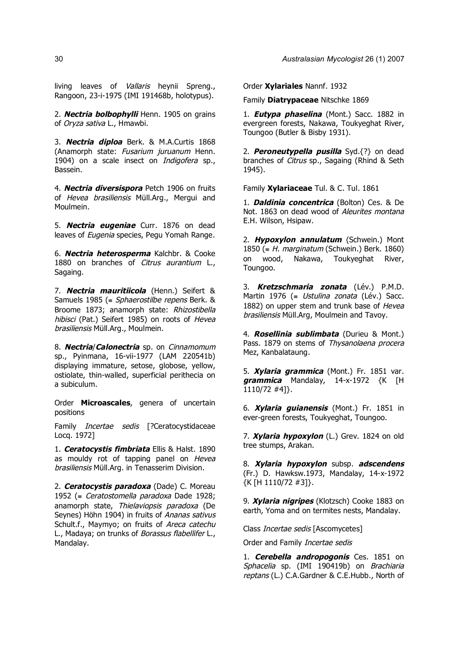living leaves of Vallaris heynii Spreng., Rangoon, 23-i-1975 (IMI 191468b, holotypus).

2. **Nectria bolbophylli** Henn. 1905 on grains of Oryza sativa L., Hmawbi.

3. **Nectria diploa** Berk. & M.A.Curtis 1868 (Anamorph state: Fusarium juruanum Henn. 1904) on a scale insect on Indigofera sp., Bassein.

4. **Nectria diversispora** Petch 1906 on fruits of Hevea brasiliensis Müll.Arg., Mergui and Moulmein.

5. **Nectria eugeniae** Curr. 1876 on dead leaves of Eugenia species, Pegu Yomah Range.

6. **Nectria heterosperma** Kalchbr. & Cooke 1880 on branches of *Citrus aurantium* L. Sagaing.

7. **Nectria mauritiicola** (Henn.) Seifert & Samuels 1985 (= Sphaerostilbe repens Berk. & Broome 1873; anamorph state: Rhizostibella hibisci (Pat.) Seifert 1985) on roots of Hevea brasiliensis Müll.Arg., Moulmein.

8. **Nectria**/**Calonectria** sp. on Cinnamomum sp., Pyinmana, 16-vii-1977 (LAM 220541b) displaying immature, setose, globose, yellow, ostiolate, thin-walled, superficial perithecia on a subiculum.

Order **Microascales**, genera of uncertain positions

Family *Incertae sedis* [?Ceratocystidaceae Locq. 1972]

1. **Ceratocystis fimbriata** Ellis & Halst. 1890 as mouldy rot of tapping panel on Hevea brasiliensis Müll.Arg. in Tenasserim Division.

2. **Ceratocystis paradoxa** (Dade) C. Moreau 1952 (= Ceratostomella paradoxa Dade 1928; anamorph state, Thielaviopsis paradoxa (De Seynes) Höhn 1904) in fruits of Ananas sativus Schult.f., Maymyo; on fruits of Areca catechu L., Madaya; on trunks of Borassus flabellifer L., Mandalay.

Order **Xylariales** Nannf. 1932

Family **Diatrypaceae** Nitschke 1869

1. **Eutypa phaselina** (Mont.) Sacc. 1882 in evergreen forests, Nakawa, Toukyeghat River, Toungoo (Butler & Bisby 1931).

2. **Peroneutypella pusilla** Syd.{?} on dead branches of Citrus sp., Sagaing (Rhind & Seth 1945).

Family **Xylariaceae** Tul. & C. Tul. 1861

1. **Daldinia concentrica** (Bolton) Ces. & De Not. 1863 on dead wood of Aleurites montana E.H. Wilson, Hsipaw.

2. **Hypoxylon annulatum** (Schwein.) Mont 1850 (= H. marginatum (Schwein.) Berk. 1860) on wood, Nakawa, Toukyeghat River, Toungoo.

3. **Kretzschmaria zonata** (Lév.) P.M.D. Martin 1976 (= Ustulina zonata (Lév.) Sacc. 1882) on upper stem and trunk base of Hevea brasiliensis Müll.Arg, Moulmein and Tavoy.

4. **Rosellinia sublimbata** (Durieu & Mont.) Pass. 1879 on stems of Thysanolaena procera Mez, Kanbalataung.

5. **Xylaria grammica** (Mont.) Fr. 1851 var. **grammica** Mandalay, 14-x-1972 {K [H 1110/72 #4]}.

6. **Xylaria guianensis** (Mont.) Fr. 1851 in ever-green forests, Toukyeghat, Toungoo.

7. **Xylaria hypoxylon** (L.) Grev. 1824 on old tree stumps, Arakan.

8. **Xylaria hypoxylon** subsp. **adscendens** (Fr.) D. Hawksw.1973, Mandalay, 14-x-1972 {K [H 1110/72 #3]}.

9. **Xylaria nigripes** (Klotzsch) Cooke 1883 on earth, Yoma and on termites nests, Mandalay.

Class Incertae sedis [Ascomycetes]

Order and Family Incertae sedis

1. **Cerebella andropogonis** Ces. 1851 on Sphacelia sp. (IMI 190419b) on Brachiaria reptans (L.) C.A.Gardner & C.E.Hubb., North of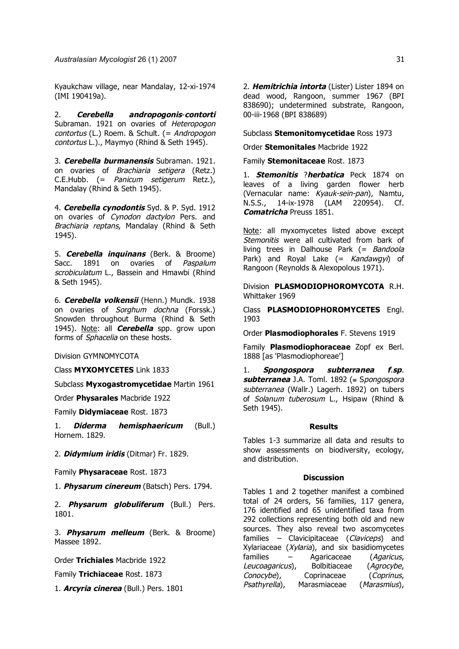Kyaukchaw village, near Mandalay, 12-xi-1974 (IMI 190419a).

2. **Cerebella andropogonis**-**contorti** Subraman. 1921 on ovaries of Heteropogon contortus (L.) Roem. & Schult. (= Andropogon contortus L.)., Maymyo (Rhind & Seth 1945).

3. **Cerebella burmanensis** Subraman. 1921. on ovaries of Brachiaria setigera (Retz.) C.E.Hubb. (= Panicum setigerum Retz.), Mandalay (Rhind & Seth 1945).

4. **Cerebella cynodontis** Syd. & P. Syd. 1912 on ovaries of Cynodon dactylon Pers. and Brachiaria reptans, Mandalay (Rhind & Seth 1945).

5. **Cerebella inquinans** (Berk. & Broome) Sacc. 1891 on ovaries of Paspalum scrobiculatum L., Bassein and Hmawbi (Rhind & Seth 1945).

6. **Cerebella volkensii** (Henn.) Mundk. 1938 on ovaries of Sorghum dochna (Forssk.) Snowden throughout Burma (Rhind & Seth 1945). Note: all **Cerebella** spp. grow upon forms of *Sphacelia* on these hosts.

Division GYMNOMYCOTA

Class **MYXOMYCETES** Link 1833

Subclass **Myxogastromycetidae** Martin 1961

Order **Physarales** Macbride 1922

Family **Didymiaceae** Rost. 1873

1. **Diderma hemisphaericum** (Bull.) Hornem. 1829.

2. **Didymium iridis** (Ditmar) Fr. 1829.

Family **Physaraceae** Rost. 1873

1. **Physarum cinereum** (Batsch) Pers. 1794.

2. **Physarum globuliferum** (Bull.) Pers. 1801.

3. **Physarum melleum** (Berk. & Broome) Massee 1892.

Order **Trichiales** Macbride 1922

Family **Trichiaceae** Rost. 1873

1. **Arcyria cinerea** (Bull.) Pers. 1801

2. **Hemitrichia intorta** (Lister) Lister 1894 on dead wood, Rangoon, summer 1967 (BPI 838690); undetermined substrate, Rangoon, 00-iii-1968 (BPI 838689)

Subclass **Stemonitomycetidae** Ross 1973

Order **Stemonitales** Macbride 1922

Family **Stemonitaceae** Rost. 1873

1. **Stemonitis** ?**herbatica** Peck 1874 on leaves of a living garden flower herb (Vernacular name: Kyauk-sein-pan), Namtu, N.S.S., 14-ix-1978 (LAM 220954). Cf. **Comatricha** Preuss 1851.

Note: all myxomycetes listed above except Stemonitis were all cultivated from bark of living trees in Dalhouse Park (= Bandoola Park) and Royal Lake  $($  = Kandawgyi) of Rangoon (Reynolds & Alexopolous 1971).

Division **PLASMODIOPHOROMYCOTA** R.H. Whittaker 1969

Class **PLASMODIOPHOROMYCETES** Engl. 1903

Order **Plasmodiophorales** F. Stevens 1919

Family **Plasmodiophoraceae** Zopf ex Berl. 1888 [as 'Plasmodiophoreae']

1. **Spongospora subterranea f**.**sp**. **subterranea** J.A. Toml. 1892 (≡ Spongospora subterranea (Wallr.) Lagerh. 1892) on tubers of Solanum tuberosum L., Hsipaw (Rhind & Seth 1945).

#### **Results**

Tables 1-3 summarize all data and results to show assessments on biodiversity, ecology, and distribution.

### **Discussion**

Tables 1 and 2 together manifest a combined total of 24 orders, 56 families, 117 genera, 176 identified and 65 unidentified taxa from 292 collections representing both old and new sources. They also reveal two ascomycetes families – Clavicipitaceae (Claviceps) and Xylariaceae (Xylaria), and six basidiomycetes families – Agaricaceae (Agaricus, Leucoagaricus), Bolbitiaceae (Agrocybe, Conocybe), Coprinaceae (Coprinus, Psathyrella), Marasmiaceae (Marasmius),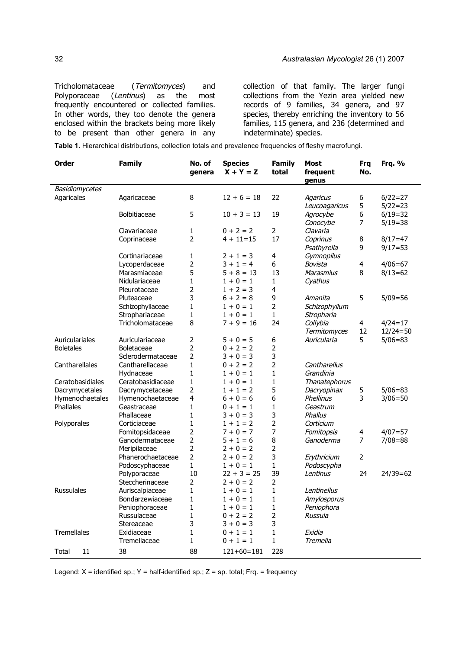Tricholomataceae (Termitomyces) and Polyporaceae (Lentinus) as the most frequently encountered or collected families. In other words, they too denote the genera enclosed within the brackets being more likely to be present than other genera in any collection of that family. The larger fungi collections from the Yezin area yielded new records of 9 families, 34 genera, and 97 species, thereby enriching the inventory to 56 families, 115 genera, and 236 (determined and indeterminate) species.

**Table 1.** Hierarchical distributions, collection totals and prevalence frequencies of fleshy macrofungi.

| Order             | <b>Family</b>                      | No. of              | <b>Species</b><br>$X + Y = Z$ | <b>Family</b><br>total | <b>Most</b><br>frequent | <b>Frq</b><br>No. | Frq. %       |
|-------------------|------------------------------------|---------------------|-------------------------------|------------------------|-------------------------|-------------------|--------------|
|                   |                                    | genera              |                               |                        | genus                   |                   |              |
| Basidiomycetes    |                                    |                     |                               |                        |                         |                   |              |
| Agaricales        | Agaricaceae                        | 8                   | $12 + 6 = 18$                 | 22                     | <b>Agaricus</b>         | 6                 | $6/22=27$    |
|                   |                                    |                     |                               |                        | Leucoagaricus           | 5                 | $5/22 = 23$  |
|                   | <b>Bolbitiaceae</b>                | 5                   | $10 + 3 = 13$                 | 19                     | Agrocybe                | 6                 | $6/19=32$    |
|                   |                                    |                     |                               |                        | Conocybe                | 7                 | $5/19=38$    |
|                   | Clavariaceae                       | 1                   | $0 + 2 = 2$                   | $\overline{2}$         | Clavaria                |                   |              |
|                   | Coprinaceae                        | 2                   | $4 + 11 = 15$                 | 17                     | Coprinus                | 8                 | $8/17 = 47$  |
|                   |                                    |                     |                               |                        | Psathyrella             | 9                 | $9/17 = 53$  |
|                   | Cortinariaceae                     | $\mathbf{1}$        | $2 + 1 = 3$                   | 4                      | Gymnopilus              |                   |              |
|                   | Lycoperdaceae                      | $\overline{2}$      | $3 + 1 = 4$                   | 6                      | Bovista                 | 4                 | $4/06 = 67$  |
|                   | Marasmiaceae                       | 5                   | $5 + 8 = 13$                  | 13                     | <b>Marasmius</b>        | 8                 | $8/13=62$    |
|                   | Nidulariaceae                      | $\mathbf{1}$        | $1 + 0 = 1$                   | 1                      | Cyathus                 |                   |              |
|                   | Pleurotaceae                       | $\overline{2}$<br>3 | $1 + 2 = 3$                   | 4<br>9                 |                         |                   |              |
|                   | Pluteaceae                         | $\mathbf{1}$        | $6 + 2 = 8$<br>$1 + 0 = 1$    | $\overline{2}$         | Amanita                 | 5                 | $5/09 = 56$  |
|                   | Schizophyllaceae<br>Strophariaceae |                     | $1 + 0 = 1$                   | $\mathbf{1}$           | Schizophyllum           |                   |              |
|                   | Tricholomataceae                   | $\mathbf{1}$<br>8   | $7 + 9 = 16$                  | 24                     | Stropharia<br>Collybia  | 4                 | $4/24=17$    |
|                   |                                    |                     |                               |                        | Termitomyces            | 12                | $12/24 = 50$ |
| Auriculariales    | Auriculariaceae                    | $\overline{2}$      | $5 + 0 = 5$                   | 6                      | Auricularia             | 5                 | $5/06 = 83$  |
| <b>Boletales</b>  | <b>Boletaceae</b>                  | $\overline{2}$      | $0 + 2 = 2$                   | $\overline{2}$         |                         |                   |              |
|                   | Sclerodermataceae                  | $\overline{2}$      | $3 + 0 = 3$                   | 3                      |                         |                   |              |
| Cantharellales    | Cantharellaceae                    | $\mathbf{1}$        | $0 + 2 = 2$                   | $\overline{2}$         | Cantharellus            |                   |              |
|                   | Hydnaceae                          | $\mathbf{1}$        | $1 + 0 = 1$                   | $\mathbf{1}$           | Grandinia               |                   |              |
| Ceratobasidiales  | Ceratobasidiaceae                  | $\mathbf{1}$        | $1 + 0 = 1$                   | $\mathbf{1}$           | Thanatephorus           |                   |              |
| Dacrymycetales    | Dacrymycetaceae                    | $\overline{2}$      | $1 + 1 = 2$                   | 5                      | Dacryopinax             | 5                 | $5/06 = 83$  |
| Hymenochaetales   | Hymenochaetaceae                   | 4                   | $6 + 0 = 6$                   | $\boldsymbol{6}$       | Phellinus               | 3                 | $3/06 = 50$  |
| Phallales         | Geastraceae                        | $\mathbf{1}$        | $0 + 1 = 1$                   | $\mathbf{1}$           | Geastrum                |                   |              |
|                   | Phallaceae                         | $\mathbf 1$         | $3 + 0 = 3$                   | 3                      | Phallus                 |                   |              |
| Polyporales       | Corticiaceae                       | $\mathbf{1}$        | $1 + 1 = 2$                   | $\overline{2}$         | Corticium               |                   |              |
|                   | Fomitopsidaceae                    | $\overline{2}$      | $7 + 0 = 7$                   | $\overline{7}$         | Fomitopsis              | 4                 | $4/07 = 57$  |
|                   | Ganodermataceae                    | $\overline{2}$      | $5 + 1 = 6$                   | 8                      | Ganoderma               | 7                 | $7/08 = 88$  |
|                   | Meripilaceae                       | $\overline{2}$      | $2 + 0 = 2$                   | $\overline{2}$         |                         |                   |              |
|                   | Phanerochaetaceae                  | $\overline{2}$      | $2 + 0 = 2$                   | 3                      | Erythricium             | 2                 |              |
|                   | Podoscyphaceae                     | $\mathbf{1}$        | $1 + 0 = 1$                   | 1                      | Podoscypha              |                   |              |
|                   | Polyporaceae                       | 10                  | $22 + 3 = 25$                 | 39                     | Lentinus                | 24                | $24/39=62$   |
|                   | Steccherinaceae                    | $\overline{2}$      | $2 + 0 = 2$                   | 2                      |                         |                   |              |
| <b>Russulales</b> | Auriscalpiaceae                    | $\mathbf{1}$        | $1 + 0 = 1$                   | $\mathbf{1}$           | Lentinellus             |                   |              |
|                   | Bondarzewiaceae                    | $\mathbf{1}$        | $1 + 0 = 1$                   | $\mathbf{1}$           | Amylosporus             |                   |              |
|                   | Peniophoraceae                     | $\mathbf 1$         | $1 + 0 = 1$                   | 1                      | Peniophora              |                   |              |
|                   | Russulaceae                        | $\mathbf{1}$        | $0 + 2 = 2$                   | $\overline{2}$         | Russula                 |                   |              |
|                   | Stereaceae                         | 3                   | $3 + 0 = 3$                   | 3                      |                         |                   |              |
| Tremellales       | Exidiaceae                         | $\mathbf{1}$        | $0 + 1 = 1$                   | $\mathbf{1}$           | Exidia                  |                   |              |
|                   | Tremellaceae                       | $\mathbf{1}$        | $0 + 1 = 1$                   | $\mathbf{1}$           | Tremella                |                   |              |
| 11<br>Total       | 38                                 | 88                  | $121+60=181$                  | 228                    |                         |                   |              |

Legend:  $X =$  identified sp.;  $Y =$  half-identified sp.;  $Z =$  sp. total; Frq. = frequency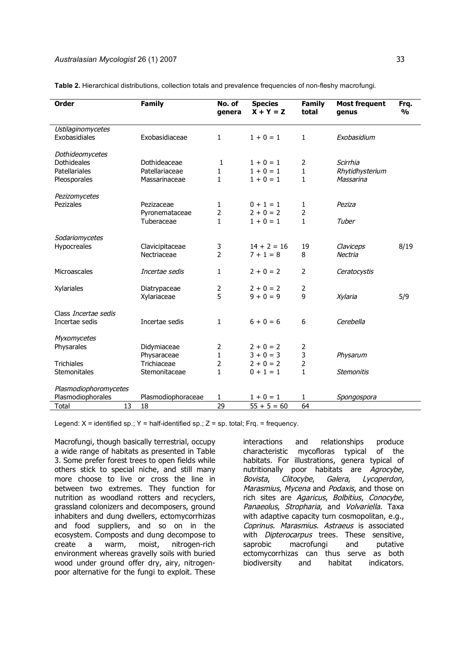**Sodariomycetes** 

Class Incertae sedis

Plasmodiophoromycetes

**Myxomycetes** 

| Order             | <b>Family</b>  | No. of<br>genera | <b>Species</b><br>$X + Y = Z$ | Family<br>total | <b>Most frequent</b><br>genus | Frq.<br>% |
|-------------------|----------------|------------------|-------------------------------|-----------------|-------------------------------|-----------|
| Ustilaginomycetes |                |                  |                               |                 |                               |           |
| Exobasidiales     | Exobasidiaceae | 1                | $1 + 0 = 1$                   | 1               | Exobasidium                   |           |
| Dothideomycetes   |                |                  |                               |                 |                               |           |
| Dothideales       | Dothideaceae   |                  | $1 + 0 = 1$                   | 2               | Scirrhia                      |           |
| Patellariales     | Patellariaceae |                  | $1 + 0 = 1$                   |                 | Rhytidhysterium               |           |
| Pleosporales      | Massarinaceae  |                  | $1 + 0 = 1$                   |                 | Massarina                     |           |
| Pezizomycetes     |                |                  |                               |                 |                               |           |
| Pezizales         | Pezizaceae     |                  | $0 + 1 = 1$                   |                 | Peziza                        |           |
|                   | Pyronemataceae | 2                | $2 + 0 = 2$                   | 2               |                               |           |
|                   | Tuberaceae     |                  | $1 + 0 = 1$                   |                 | Tuber                         |           |

**Table 2.** Hierarchical distributions, collection totals and prevalence frequencies of non-fleshy macrofungi.

Hypocreales Clavicipitaceae 3 14 + 2 = 16 19 Claviceps 8/19

Microascales *Incertae sedis*  $1 \t2 + 0 = 2 \t2$  Ceratocystis

Incertae sedis Incertae sedis  $1 \t 6 + 0 = 6 \t 6$  Cerebella

Stemonitales Stemonitaceae 1 0 + 1 = 1 1 Stemonitis

Plasmodiophorales Plasmodiophoraceae  $1 \t 1 + 0 = 1 \t 1$  Spongospora

Nectriaceae 2  $7+1=8$  8 Nectria

Physaraceae  $1 \qquad 3 + 0 = 3 \qquad 3 \qquad$ Physarum

 $Xy$ lariaceae  $5 \qquad 9 + 0 = 9 \qquad 9 \qquad Xy$ laria

| Total | 13 18 |                                                                                             | $55 + 5 = 60$ | 64 |
|-------|-------|---------------------------------------------------------------------------------------------|---------------|----|
|       |       |                                                                                             |               |    |
|       |       | Legend: $X =$ identified sp.; $Y =$ half-identified sp.; $Z =$ sp. total; Frq. = frequency. |               |    |

 $X$ ylariales Diatrypaceae 2  $2 + 0 = 2$  2

Physarales Didymiaceae  $2 + 0 = 2$  2

Trichiales  $\overline{\phantom{a}}$  Trichiaceae  $\overline{\phantom{a}}$   $\overline{\phantom{a}}$   $\overline{\phantom{a}}$   $\overline{\phantom{a}}$   $\overline{\phantom{a}}$   $\overline{\phantom{a}}$   $\overline{\phantom{a}}$   $\overline{\phantom{a}}$   $\overline{\phantom{a}}$   $\overline{\phantom{a}}$   $\overline{\phantom{a}}$   $\overline{\phantom{a}}$   $\overline{\phantom{a}}$   $\overline{\phantom{a}}$   $\overline{\phantom{a}}$   $\overline{\phant$ 

Macrofungi, though basically terrestrial, occupy a wide range of habitats as presented in Table 3. Some prefer forest trees to open fields while others stick to special niche, and still many more choose to live or cross the line in between two extremes. They function for nutrition as woodland rotters and recyclers, grassland colonizers and decomposers, ground inhabiters and dung dwellers, ectomycorrhizas and food suppliers, and so on in the ecosystem. Composts and dung decompose to create a warm, moist, nitrogen-rich environment whereas gravelly soils with buried wood under ground offer dry, airy, nitrogenpoor alternative for the fungi to exploit. These

interactions and relationships produce characteristic mycofloras typical of the habitats. For illustrations, genera typical of nutritionally poor habitats are Agrocybe, Bovista, Clitocybe, Galera, Lycoperdon, Marasmius, Mycena and Podaxis, and those on rich sites are Agaricus, Bolbitius, Conocybe, Panaeolus, Stropharia, and Volvariella. Taxa with adaptive capacity turn cosmopolitan, e.g., Coprinus. Marasmius. Astraeus is associated with Dipterocarpus trees. These sensitive, saprobic macrofungi and putative ectomycorrhizas can thus serve as both biodiversity and habitat indicators.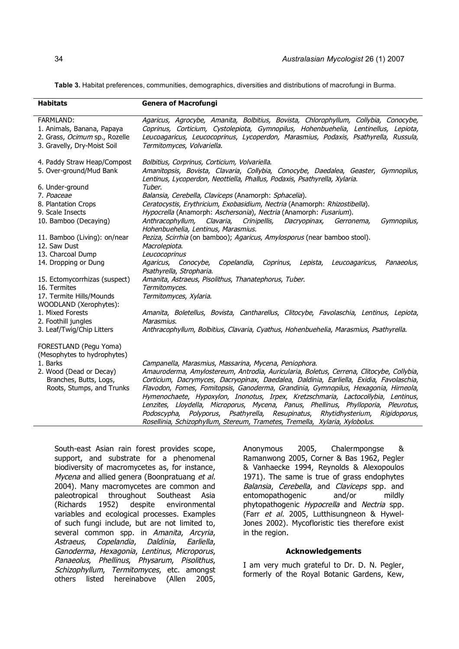**Table 3.** Habitat preferences, communities, demographics, diversities and distributions of macrofungi in Burma.

| <b>Habitats</b>                                                                                                           | <b>Genera of Macrofungi</b>                                                                                                                                                                                                                                                                                                                                                                                              |
|---------------------------------------------------------------------------------------------------------------------------|--------------------------------------------------------------------------------------------------------------------------------------------------------------------------------------------------------------------------------------------------------------------------------------------------------------------------------------------------------------------------------------------------------------------------|
| FARMLAND:<br>1. Animals, Banana, Papaya<br>2. Grass, Ocimum sp., Rozelle<br>3. Gravelly, Dry-Moist Soil                   | Agaricus, Agrocybe, Amanita, Bolbitius, Bovista, Chlorophyllum, Collybia, Conocybe,<br>Coprinus, Corticium, Cystolepiota, Gymnopilus, Hohenbuehelia, Lentinellus, Lepiota,<br>Leucoagaricus, Leucocoprinus, Lycoperdon, Marasmius, Podaxis, Psathyrella, Russula,<br>Termitomyces, Volvariella.                                                                                                                          |
| 4. Paddy Straw Heap/Compost<br>5. Over-ground/Mud Bank                                                                    | Bolbitius, Corprinus, Corticium, Volvariella.<br>Amanitopsis, Bovista, Clavaria, Collybia, Conocybe, Daedalea, Geaster, Gymnopilus,<br>Lentinus, Lycoperdon, Neottiella, Phallus, Podaxis, Psathyrella, Xylaria.                                                                                                                                                                                                         |
| 6. Under-ground<br>7. Poaceae<br>8. Plantation Crops                                                                      | Tuber.<br>Balansia, Cerebella, Claviceps (Anamorph: Sphacelia).<br>Ceratocystis, Erythricium, Exobasidium, Nectria (Anamorph: Rhizostibella).                                                                                                                                                                                                                                                                            |
| 9. Scale Insects<br>10. Bamboo (Decaying)                                                                                 | Hypocrella (Anamorph: Aschersonia), Nectria (Anamorph: Fusarium).<br>Clavaria,<br>Anthracophyllum,<br>Crinipellis,<br>Dacryopinax,<br>Gerronema,<br>Gymnopilus,<br>Hohenbuehelia, Lentinus, Marasmius.                                                                                                                                                                                                                   |
| 11. Bamboo (Living): on/near<br>12. Saw Dust<br>13. Charcoal Dump                                                         | Peziza, Scirrhia (on bamboo); Agaricus, Amylosporus (near bamboo stool).<br>Macrolepiota.<br>Leucocoprinus                                                                                                                                                                                                                                                                                                               |
| 14. Dropping or Dung                                                                                                      | Agaricus, Conocybe,<br>Copelandia,<br>Coprinus,<br>Lepista,<br>Leucoagaricus,<br>Panaeolus,<br>Psathyrella, Stropharia.                                                                                                                                                                                                                                                                                                  |
| 15. Ectomycorrhizas (suspect)<br>16. Termites<br>17. Termite Hills/Mounds<br>WOODLAND (Xerophytes):                       | Amanita, Astraeus, Pisolithus, Thanatephorus, Tuber.<br>Termitomyces.<br>Termitomyces, Xylaria.                                                                                                                                                                                                                                                                                                                          |
| 1. Mixed Forests<br>2. Foothill jungles                                                                                   | Amanita, Boletellus, Bovista, Cantharellus, Clitocybe, Favolaschia, Lentinus, Lepiota,<br>Marasmius.                                                                                                                                                                                                                                                                                                                     |
| 3. Leaf/Twig/Chip Litters<br>FORESTLAND (Pegu Yoma)                                                                       | Anthracophyllum, Bolbitius, Clavaria, Cyathus, Hohenbuehelia, Marasmius, Psathyrella.                                                                                                                                                                                                                                                                                                                                    |
| (Mesophytes to hydrophytes)<br>1. Barks<br>2. Wood (Dead or Decay)<br>Branches, Butts, Logs,<br>Roots, Stumps, and Trunks | Campanella, Marasmius, Massarina, Mycena, Peniophora.<br>Amauroderma, Amylostereum, Antrodia, Auricularia, Boletus, Cerrena, Clitocybe, Collybia,<br>Corticium, Dacrymyces, Dacryopinax, Daedalea, Daldinia, Earliella, Exidia, Favolaschia,<br>Flavodon, Fomes, Fomitopsis, Ganoderma, Grandinia, Gymnopilus, Hexagonia, Hirneola,<br>Hymenochaete, Hypoxylon, Inonotus, Irpex, Kretzschmaria, Lactocollybia, Lentinus, |
|                                                                                                                           | Lenzites, Lloydella, Microporus, Mycena, Panus, Phellinus, Phylloporia, Pleurotus,<br>Podoscypha, Polyporus, Psathyrella, Resupinatus, Rhytidhysterium,<br>Rigidoporus,<br>Rosellinia, Schizophyllum, Stereum, Trametes, Tremella, Xylaria, Xylobolus.                                                                                                                                                                   |

South-east Asian rain forest provides scope, support, and substrate for a phenomenal biodiversity of macromycetes as, for instance, Mycena and allied genera (Boonpratuang et al. 2004). Many macromycetes are common and paleotropical throughout Southeast Asia (Richards 1952) despite environmental variables and ecological processes. Examples of such fungi include, but are not limited to, several common spp. in Amanita, Arcyria, Astraeus, Copelandia, Daldinia, Earliella, Ganoderma, Hexagonia, Lentinus, Microporus, Panaeolus, Phellinus, Physarum, Pisolithus, Schizophyllum, Termitomyces, etc. amongst others listed hereinabove (Allen 2005, Anonymous 2005, Chalermpongse & Ramanwong 2005, Corner & Bas 1962, Pegler & Vanhaecke 1994, Reynolds & Alexopoulos 1971). The same is true of grass endophytes Balansia, Cerebella, and Claviceps spp. and entomopathogenic and/or mildly phytopathogenic Hypocrella and Nectria spp. (Farr et al. 2005, Lutthisungneon & Hywel-Jones 2002). Mycofloristic ties therefore exist in the region.

#### **Acknowledgements**

I am very much grateful to Dr. D. N. Pegler, formerly of the Royal Botanic Gardens, Kew,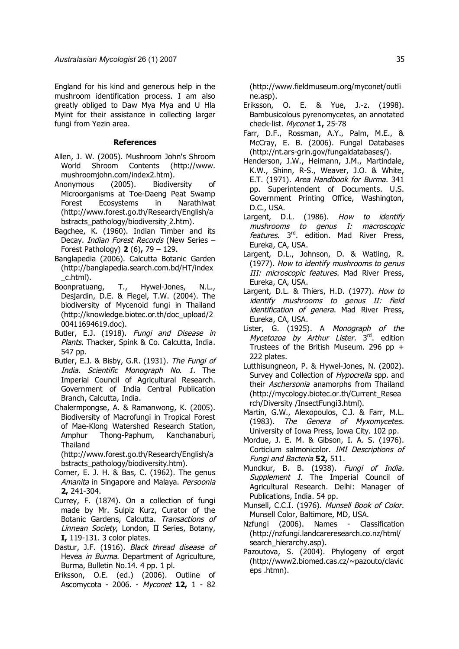England for his kind and generous help in the mushroom identification process. I am also greatly obliged to Daw Mya Mya and U Hla Myint for their assistance in collecting larger fungi from Yezin area.

#### **References**

- Allen, J. W. (2005). Mushroom John's Shroom World Shroom Contents (http://www. mushroomjohn.com/index2.htm).
- Anonymous (2005). Biodiversity of Microorganisms at Toe-Daeng Peat Swamp Forest Ecosystems in Narathiwat (http://www.forest.go.th/Research/English/a bstracts\_pathology/biodiversity 2.htm).
- Bagchee, K. (1960). Indian Timber and its Decay. *Indian Forest Records* (New Series -Forest Pathology) **2** (6)**,** 79 – 129.
- Banglapedia (2006). Calcutta Botanic Garden (http://banglapedia.search.com.bd/HT/index \_c.html).
- Boonpratuang, T., Hywel-Jones, N.L., Desjardin, D.E. & Flegel, T.W. (2004). The biodiversity of Mycenoid fungi in Thailand (http://knowledge.biotec.or.th/doc\_upload/2 00411694619.doc).
- Butler, E.J. (1918). Fungi and Disease in Plants. Thacker, Spink & Co. Calcutta, India. 547 pp.
- Butler, E.J. & Bisby, G.R. (1931). The Fungi of India. Scientific Monograph No. 1. The Imperial Council of Agricultural Research. Government of India Central Publication Branch, Calcutta, India.
- Chalermpongse, A. & Ramanwong, K. (2005). Biodiversity of Macrofungi in Tropical Forest of Mae-Klong Watershed Research Station, Amphur Thong-Paphum, Kanchanaburi, Thailand

(http://www.forest.go.th/Research/English/a bstracts\_pathology/biodiversity.htm).

- Corner, E. J. H. & Bas, C. (1962). The genus Amanita in Singapore and Malaya. Persoonia **2,** 241-304.
- Currey, F. (1874). On a collection of fungi made by Mr. Sulpiz Kurz, Curator of the Botanic Gardens, Calcutta. Transactions of Linnean Society, London, II Series, Botany, **I,** 119-131. 3 color plates.
- Dastur, J.F. (1916). Black thread disease of Hevea in Burma. Department of Agriculture, Burma, Bulletin No.14. 4 pp. 1 pl.
- Eriksson, O.E. (ed.) (2006). Outline of Ascomycota - 2006. - Myconet **12,** 1 - 82

(http://www.fieldmuseum.org/myconet/outli ne.asp).

- Eriksson, O. E. & Yue, J.-z. (1998). Bambusicolous pyrenomycetes, an annotated check-list. Myconet **1,** 25-78
- Farr, D.F., Rossman, A.Y., Palm, M.E., & McCray, E. B. (2006). Fungal Databases (http://nt.ars-grin.gov/fungaldatabases/).
- Henderson, J.W., Heimann, J.M., Martindale, K.W., Shinn, R-S., Weaver, J.O. & White, E.T. (1971). Area Handbook for Burma. 341 pp. Superintendent of Documents. U.S. Government Printing Office, Washington, D.C., USA.
- Largent, D.L. (1986). How to identify mushrooms to genus I: macroscopic features. 3rd. edition. Mad River Press, Eureka, CA, USA.
- Largent, D.L., Johnson, D. & Watling, R. (1977). How to identify mushrooms to genus III: microscopic features. Mad River Press, Eureka, CA, USA.
- Largent, D.L. & Thiers, H.D. (1977). How to identify mushrooms to genus II: field identification of genera. Mad River Press, Eureka, CA, USA.
- Lister, G. (1925). A Monograph of the Mycetozoa by Arthur Lister. 3rd. edition Trustees of the British Museum. 296 pp + 222 plates.
- Lutthisungneon, P. & Hywel-Jones, N. (2002). Survey and Collection of Hypocrella spp. and their Aschersonia anamorphs from Thailand (http://mycology.biotec.or.th/Current\_Resea rch/Diversity /InsectFungi3.html).
- Martin, G.W., Alexopoulos, C.J. & Farr, M.L. (1983). The Genera of Myxomycetes. University of Iowa Press, Iowa City. 102 pp.
- Mordue, J. E. M. & Gibson, I. A. S. (1976). Corticium salmonicolor. IMI Descriptions of Fungi and Bacteria **52,** 511.
- Mundkur, B. B. (1938). Fungi of India. Supplement I. The Imperial Council of Agricultural Research. Delhi: Manager of Publications, India. 54 pp.
- Munsell, C.C.I. (1976). Munsell Book of Color. Munsell Color, Baltimore, MD, USA.
- Nzfungi (2006). Names Classification (http://nzfungi.landcareresearch.co.nz/html/ search\_hierarchy.asp).
- Pazoutova, S. (2004). Phylogeny of ergot (http://www2.biomed.cas.cz/~pazouto/clavic eps .htmn).